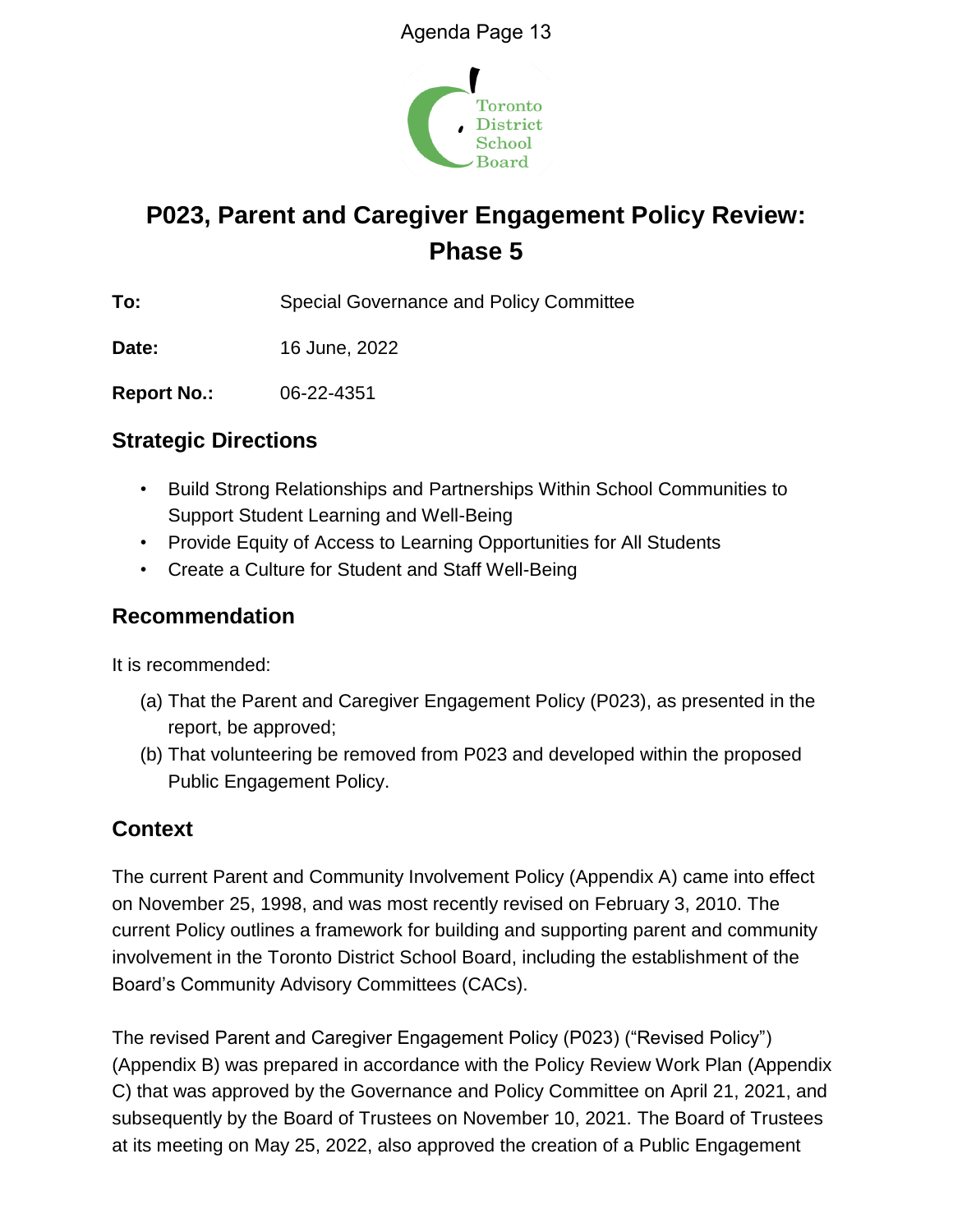

# **P023, Parent and Caregiver Engagement Policy Review: Phase 5**

**To:** Special Governance and Policy Committee

**Date:** 16 June, 2022

**Report No.:** 06-22-4351

# **Strategic Directions**

- Build Strong Relationships and Partnerships Within School Communities to Support Student Learning and Well-Being
- Provide Equity of Access to Learning Opportunities for All Students
- Create a Culture for Student and Staff Well-Being

# **Recommendation**

It is recommended:

- (a) That the Parent and Caregiver Engagement Policy (P023), as presented in the report, be approved;
- (b) That volunteering be removed from P023 and developed within the proposed Public Engagement Policy.

# **Context**

The current Parent and Community Involvement Policy (Appendix A) came into effect on November 25, 1998, and was most recently revised on February 3, 2010. The current Policy outlines a framework for building and supporting parent and community involvement in the Toronto District School Board, including the establishment of the Board's Community Advisory Committees (CACs).

The revised Parent and Caregiver Engagement Policy (P023) ("Revised Policy") (Appendix B) was prepared in accordance with the Policy Review Work Plan (Appendix C) that was approved by the Governance and Policy Committee on April 21, 2021, and subsequently by the Board of Trustees on November 10, 2021. The Board of Trustees at its meeting on May 25, 2022, also approved the creation of a Public Engagement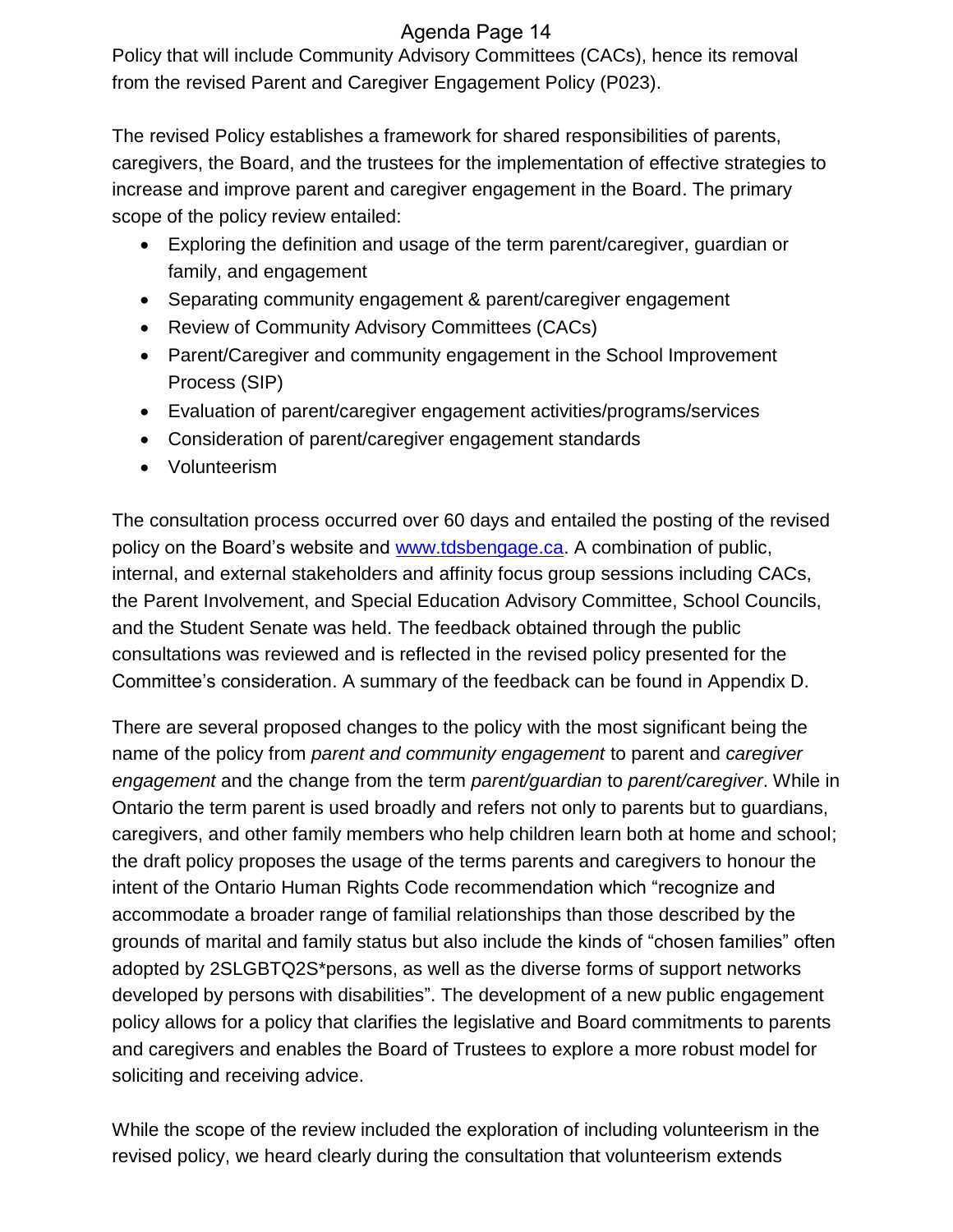# Agenda Page 14

Policy that will include Community Advisory Committees (CACs), hence its removal from the revised Parent and Caregiver Engagement Policy (P023).

The revised Policy establishes a framework for shared responsibilities of parents, caregivers, the Board, and the trustees for the implementation of effective strategies to increase and improve parent and caregiver engagement in the Board. The primary scope of the policy review entailed:

- Exploring the definition and usage of the term parent/caregiver, guardian or family, and engagement
- Separating community engagement & parent/caregiver engagement
- Review of Community Advisory Committees (CACs)
- Parent/Caregiver and community engagement in the School Improvement Process (SIP)
- Evaluation of parent/caregiver engagement activities/programs/services
- Consideration of parent/caregiver engagement standards
- Volunteerism

The consultation process occurred over 60 days and entailed the posting of the revised policy on the Board's website and [www.tdsbengage.ca.](http://www.tdsbengage.ca/) A combination of public, internal, and external stakeholders and affinity focus group sessions including CACs, the Parent Involvement, and Special Education Advisory Committee, School Councils, and the Student Senate was held. The feedback obtained through the public consultations was reviewed and is reflected in the revised policy presented for the Committee's consideration. A summary of the feedback can be found in Appendix D.

There are several proposed changes to the policy with the most significant being the name of the policy from *parent and community engagement* to parent and *caregiver engagement* and the change from the term *parent/guardian* to *parent/caregiver*. While in Ontario the term parent is used broadly and refers not only to parents but to guardians, caregivers, and other family members who help children learn both at home and school; the draft policy proposes the usage of the terms parents and caregivers to honour the intent of the Ontario Human Rights Code recommendation which "recognize and accommodate a broader range of familial relationships than those described by the grounds of marital and family status but also include the kinds of "chosen families" often adopted by 2SLGBTQ2S\*persons, as well as the diverse forms of support networks developed by persons with disabilities". The development of a new public engagement policy allows for a policy that clarifies the legislative and Board commitments to parents and caregivers and enables the Board of Trustees to explore a more robust model for soliciting and receiving advice.

While the scope of the review included the exploration of including volunteerism in the revised policy, we heard clearly during the consultation that volunteerism extends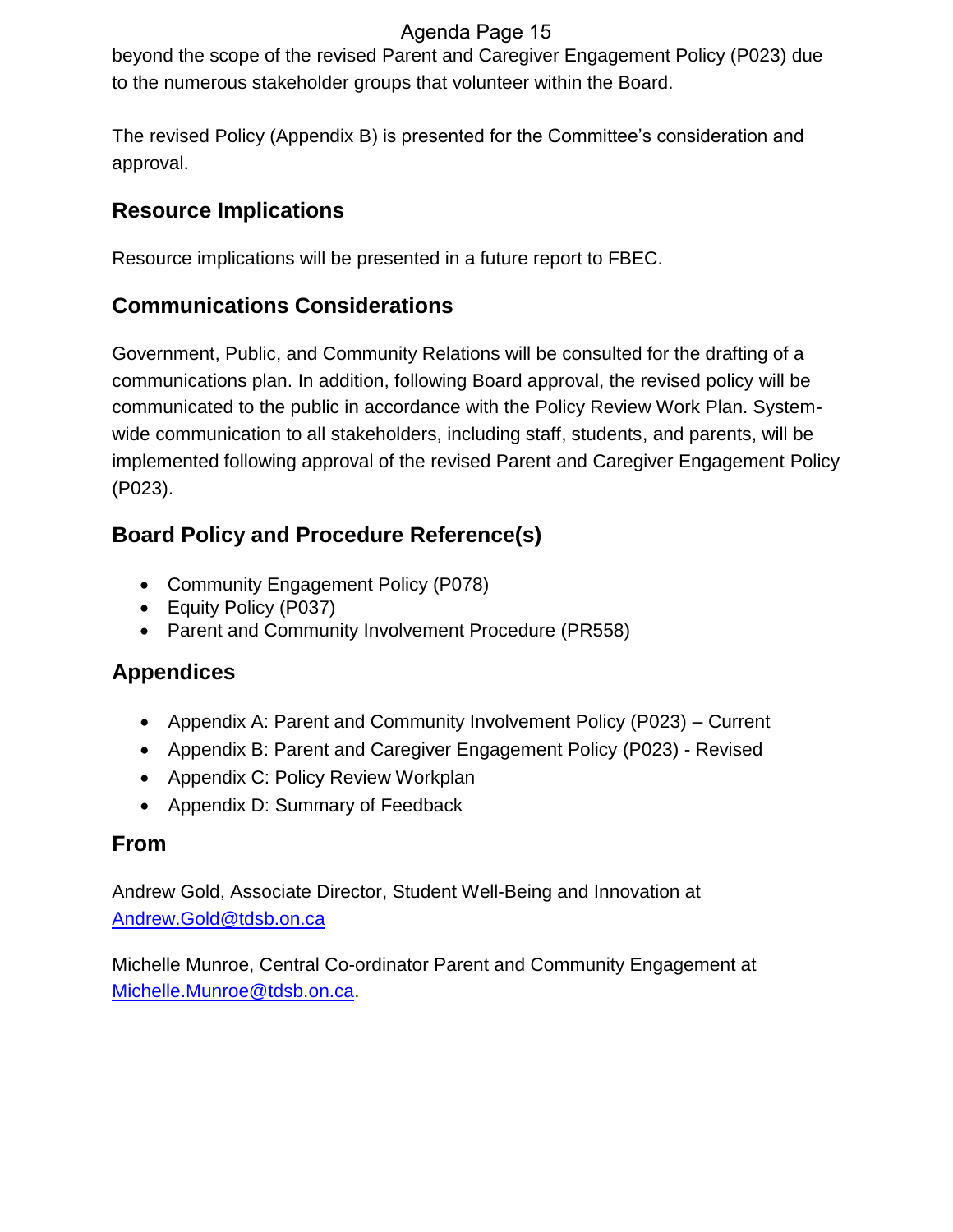# Agenda Page 15

beyond the scope of the revised Parent and Caregiver Engagement Policy (P023) due to the numerous stakeholder groups that volunteer within the Board.

The revised Policy (Appendix B) is presented for the Committee's consideration and approval.

# **Resource Implications**

Resource implications will be presented in a future report to FBEC.

# **Communications Considerations**

Government, Public, and Community Relations will be consulted for the drafting of a communications plan. In addition, following Board approval, the revised policy will be communicated to the public in accordance with the Policy Review Work Plan. Systemwide communication to all stakeholders, including staff, students, and parents, will be implemented following approval of the revised Parent and Caregiver Engagement Policy (P023).

# **Board Policy and Procedure Reference(s)**

- Community Engagement Policy (P078)
- Equity Policy (P037)
- Parent and Community Involvement Procedure (PR558)

# **Appendices**

- Appendix A: Parent and Community Involvement Policy (P023) Current
- Appendix B: Parent and Caregiver Engagement Policy (P023) Revised
- Appendix C: Policy Review Workplan
- Appendix D: Summary of Feedback

# **From**

Andrew Gold, Associate Director, Student Well-Being and Innovation at [Andrew.Gold@tdsb.on.ca](mailto:Andrew.Gold@tdsb.on.ca)

Michelle Munroe, Central Co-ordinator Parent and Community Engagement at [Michelle.Munroe@tdsb.on.ca.](mailto:Michelle.Munroe@tdsb.on.ca)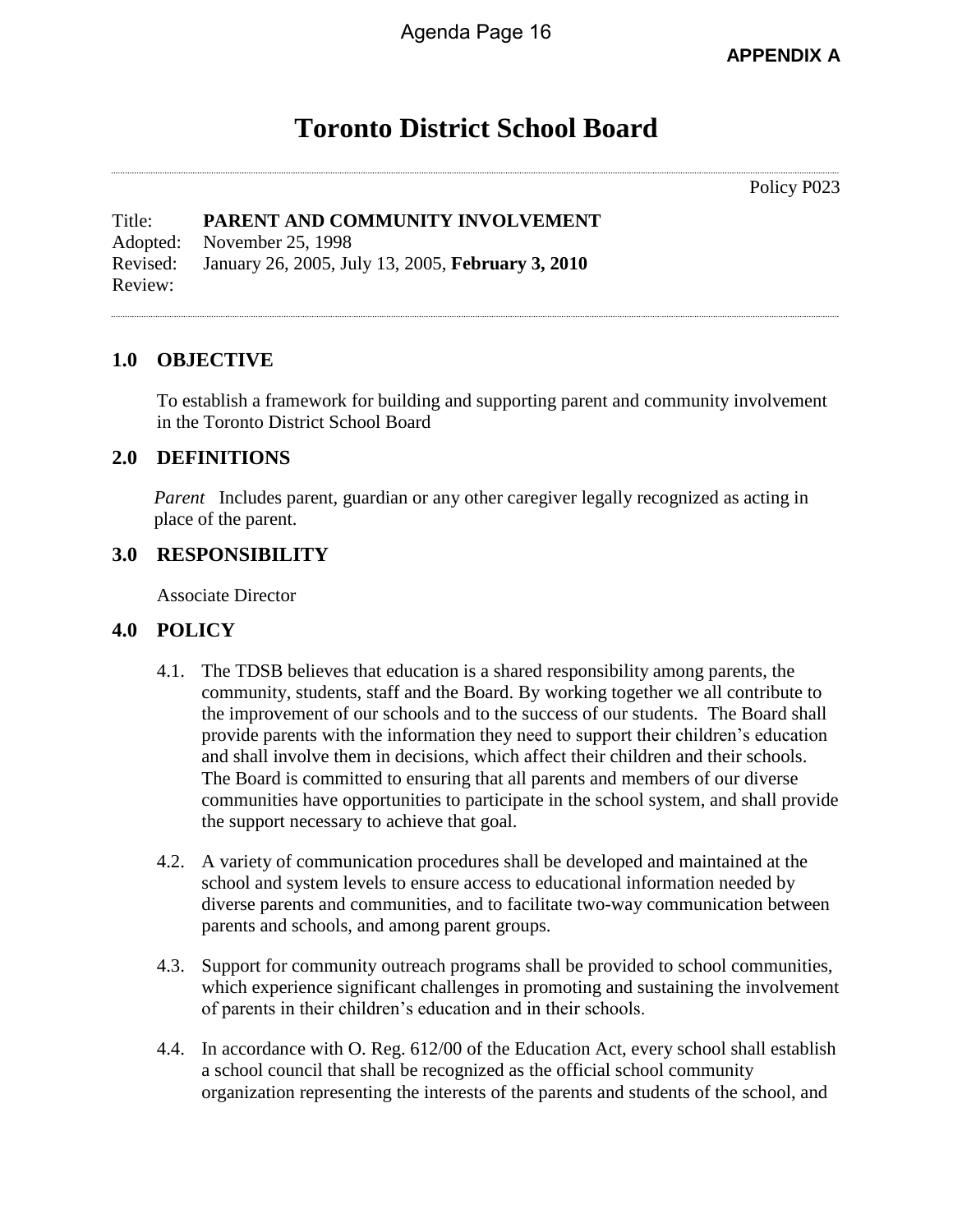**APPENDIX A**

# **Toronto District School Board**

Policy P023

Title: **PARENT AND COMMUNITY INVOLVEMENT** Adopted: November 25, 1998 Revised: January 26, 2005, July 13, 2005, **February 3, 2010** Review:

### **1.0 OBJECTIVE**

To establish a framework for building and supporting parent and community involvement in the Toronto District School Board

#### **2.0 DEFINITIONS**

*Parent* Includes parent, guardian or any other caregiver legally recognized as acting in place of the parent.

### **3.0 RESPONSIBILITY**

Associate Director

#### **4.0 POLICY**

- 4.1. The TDSB believes that education is a shared responsibility among parents, the community, students, staff and the Board. By working together we all contribute to the improvement of our schools and to the success of our students. The Board shall provide parents with the information they need to support their children's education and shall involve them in decisions, which affect their children and their schools. The Board is committed to ensuring that all parents and members of our diverse communities have opportunities to participate in the school system, and shall provide the support necessary to achieve that goal.
- 4.2. A variety of communication procedures shall be developed and maintained at the school and system levels to ensure access to educational information needed by diverse parents and communities, and to facilitate two-way communication between parents and schools, and among parent groups.
- 4.3. Support for community outreach programs shall be provided to school communities, which experience significant challenges in promoting and sustaining the involvement of parents in their children's education and in their schools.
- 4.4. In accordance with O. Reg. 612/00 of the Education Act, every school shall establish a school council that shall be recognized as the official school community organization representing the interests of the parents and students of the school, and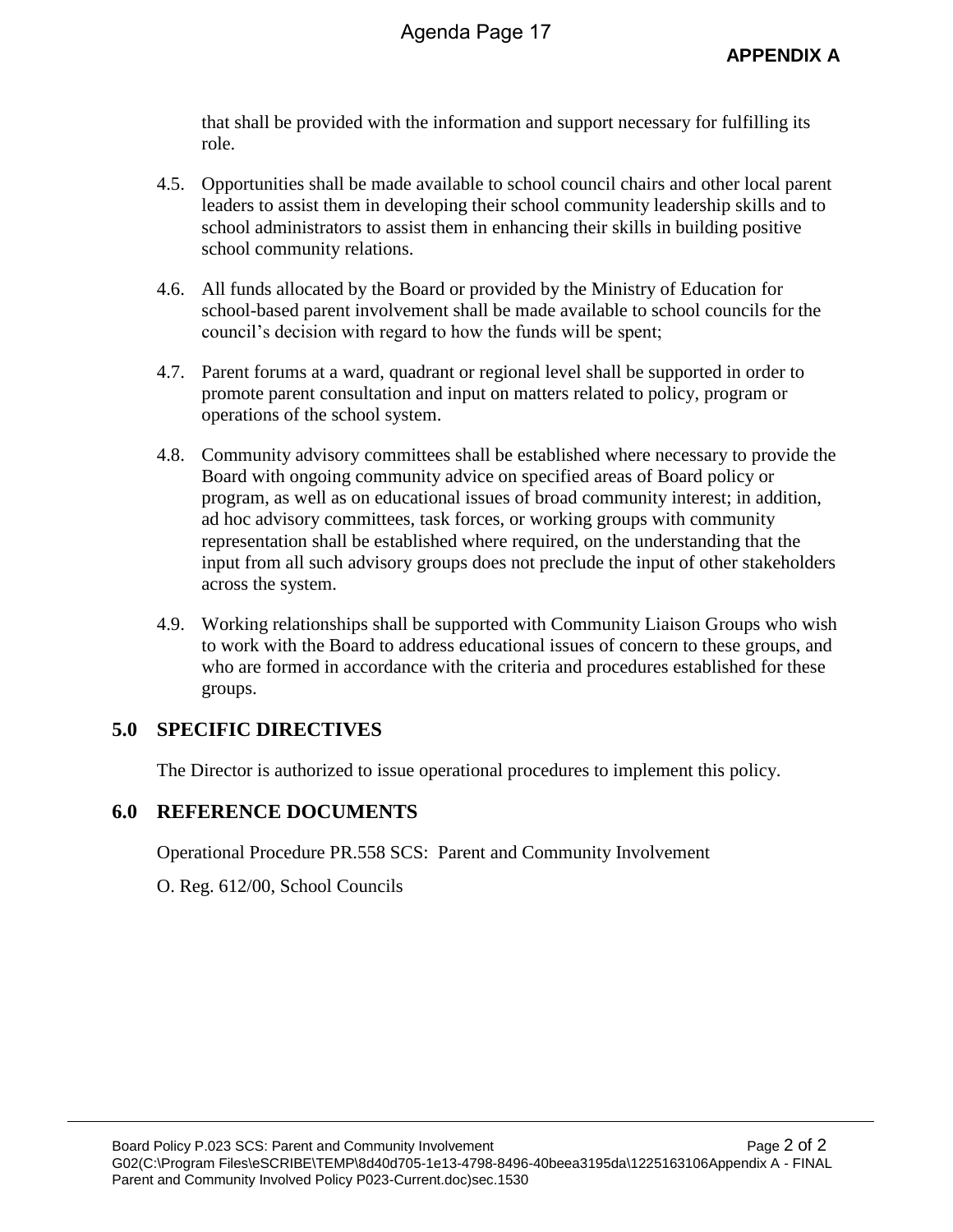that shall be provided with the information and support necessary for fulfilling its role.

- 4.5. Opportunities shall be made available to school council chairs and other local parent leaders to assist them in developing their school community leadership skills and to school administrators to assist them in enhancing their skills in building positive school community relations.
- 4.6. All funds allocated by the Board or provided by the Ministry of Education for school-based parent involvement shall be made available to school councils for the council's decision with regard to how the funds will be spent;
- 4.7. Parent forums at a ward, quadrant or regional level shall be supported in order to promote parent consultation and input on matters related to policy, program or operations of the school system.
- 4.8. Community advisory committees shall be established where necessary to provide the Board with ongoing community advice on specified areas of Board policy or program, as well as on educational issues of broad community interest; in addition, ad hoc advisory committees, task forces, or working groups with community representation shall be established where required, on the understanding that the input from all such advisory groups does not preclude the input of other stakeholders across the system.
- 4.9. Working relationships shall be supported with Community Liaison Groups who wish to work with the Board to address educational issues of concern to these groups, and who are formed in accordance with the criteria and procedures established for these groups.

## **5.0 SPECIFIC DIRECTIVES**

The Director is authorized to issue operational procedures to implement this policy.

## **6.0 REFERENCE DOCUMENTS**

Operational Procedure PR.558 SCS: Parent and Community Involvement

O. Reg. 612/00, School Councils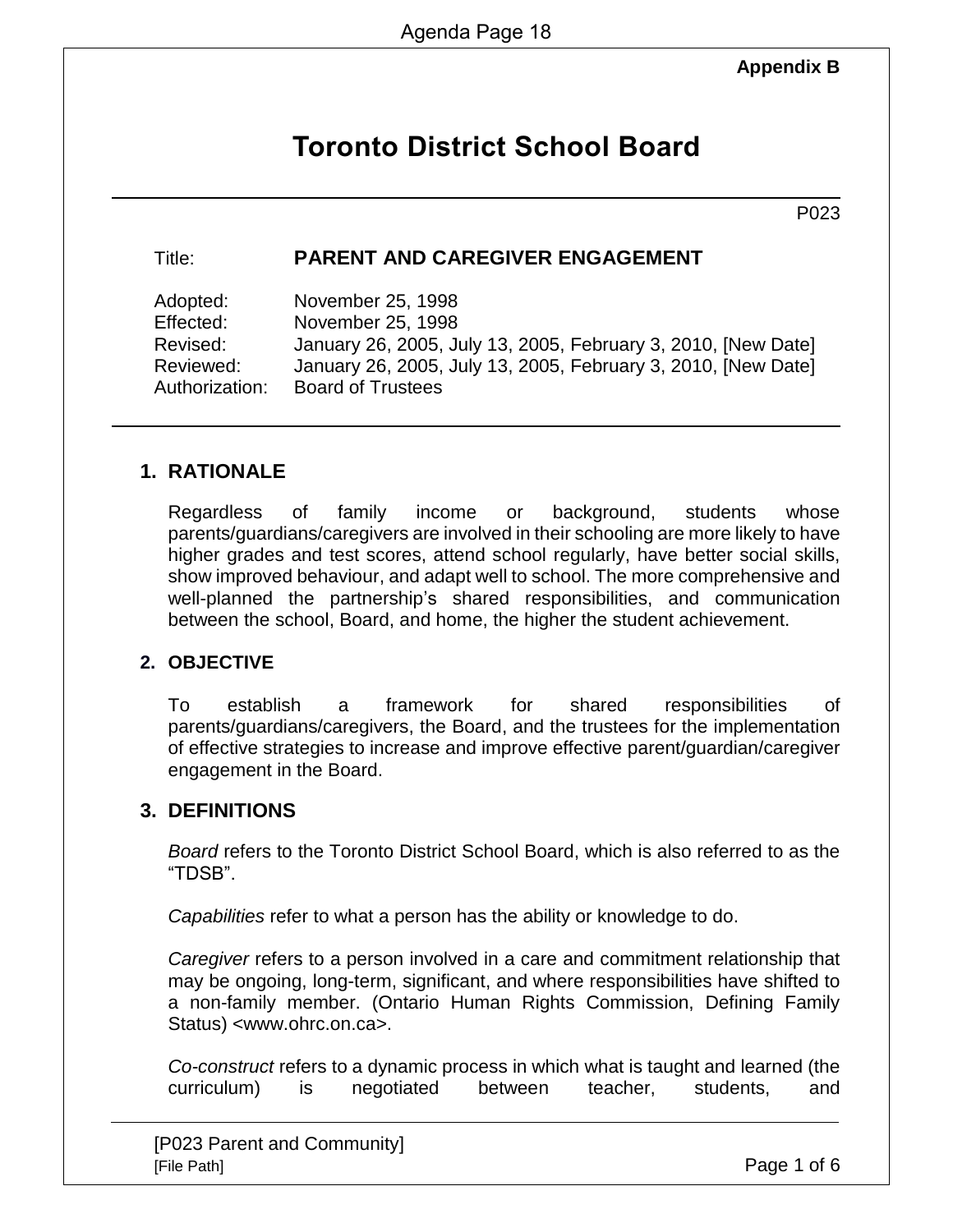## **Appendix B**

# **Toronto District School Board**

P023

## Title: **PARENT AND CAREGIVER ENGAGEMENT**

| November 25, 1998                                             |
|---------------------------------------------------------------|
| November 25, 1998                                             |
| January 26, 2005, July 13, 2005, February 3, 2010, [New Date] |
| January 26, 2005, July 13, 2005, February 3, 2010, [New Date] |
| <b>Board of Trustees</b>                                      |
|                                                               |

## **1. RATIONALE**

Regardless of family income or background, students whose parents/guardians/caregivers are involved in their schooling are more likely to have higher grades and test scores, attend school regularly, have better social skills, show improved behaviour, and adapt well to school. The more comprehensive and well-planned the partnership's shared responsibilities, and communication between the school, Board, and home, the higher the student achievement.

## **2. OBJECTIVE**

To establish a framework for shared responsibilities of parents/guardians/caregivers, the Board, and the trustees for the implementation of effective strategies to increase and improve effective parent/guardian/caregiver engagement in the Board.

## **3. DEFINITIONS**

*Board* refers to the Toronto District School Board, which is also referred to as the "TDSB".

*Capabilities* refer to what a person has the ability or knowledge to do.

*Caregiver* refers to a person involved in a care and commitment relationship that may be ongoing, long-term, significant, and where responsibilities have shifted to a non-family member. (Ontario Human Rights Commission, Defining Family Status) <www.ohrc.on.ca>.

*Co-construct* refers to a dynamic process in which what is taught and learned (the curriculum) is negotiated between teacher, students, and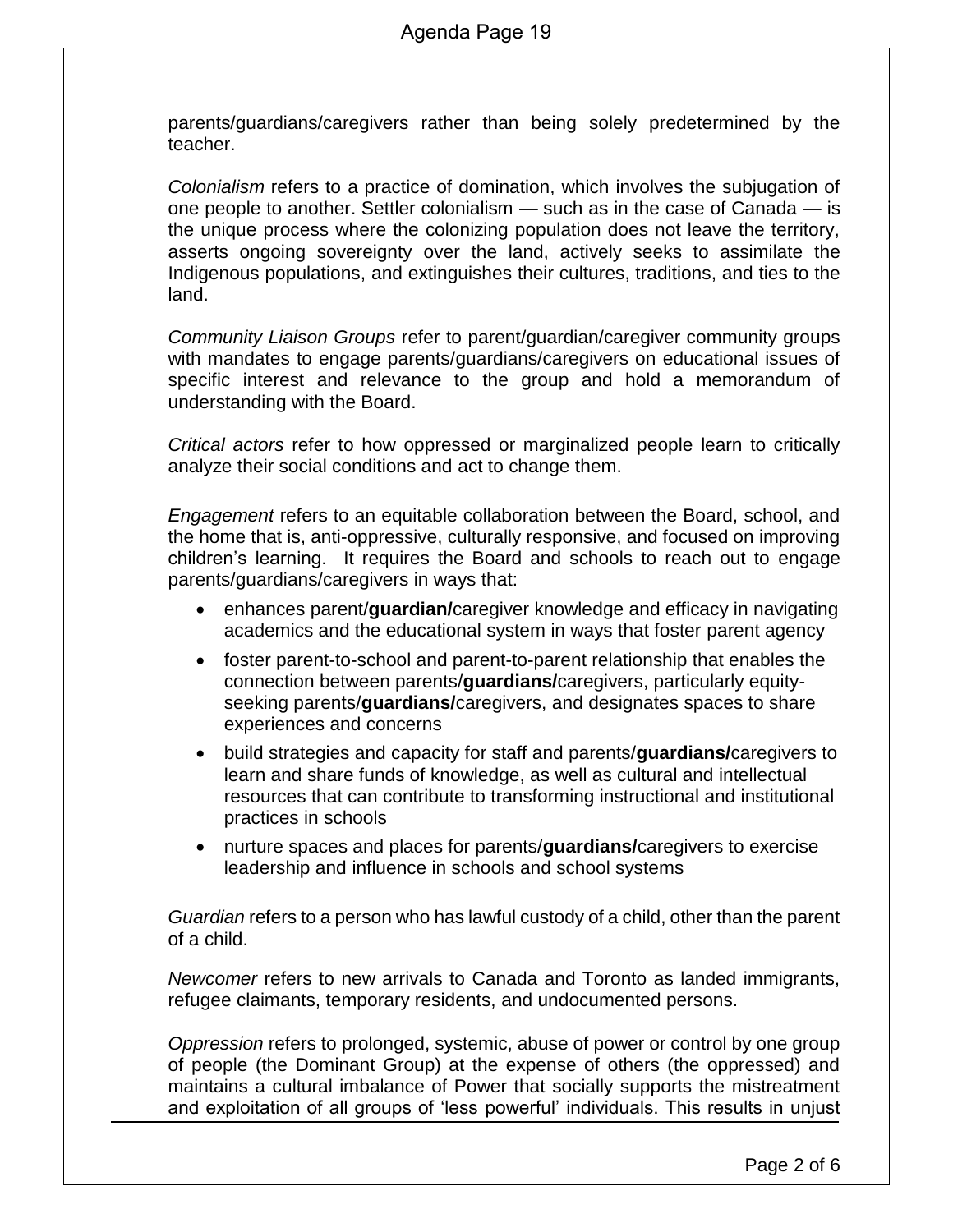parents/guardians/caregivers rather than being solely predetermined by the teacher.

*Colonialism* refers to a practice of domination, which involves the subjugation of one people to another. Settler colonialism — such as in the case of Canada — is the unique process where the colonizing population does not leave the territory, asserts ongoing sovereignty over the land, actively seeks to assimilate the Indigenous populations, and extinguishes their cultures, traditions, and ties to the land.

*Community Liaison Groups* refer to parent/guardian/caregiver community groups with mandates to engage parents/guardians/caregivers on educational issues of specific interest and relevance to the group and hold a memorandum of understanding with the Board.

*Critical actors* refer to how oppressed or marginalized people learn to critically analyze their social conditions and act to change them.

*Engagement* refers to an equitable collaboration between the Board, school, and the home that is, anti-oppressive, culturally responsive, and focused on improving children's learning. It requires the Board and schools to reach out to engage parents/guardians/caregivers in ways that:

- enhances parent/**guardian/**caregiver knowledge and efficacy in navigating academics and the educational system in ways that foster parent agency
- foster parent-to-school and parent-to-parent relationship that enables the connection between parents/**guardians/**caregivers, particularly equityseeking parents/**guardians/**caregivers, and designates spaces to share experiences and concerns
- build strategies and capacity for staff and parents/**guardians/**caregivers to learn and share funds of knowledge, as well as cultural and intellectual resources that can contribute to transforming instructional and institutional practices in schools
- nurture spaces and places for parents/**guardians/**caregivers to exercise leadership and influence in schools and school systems

*Guardian* refers to a person who has lawful custody of a child, other than the parent of a child.

*Newcomer* refers to new arrivals to Canada and Toronto as landed immigrants, refugee claimants, temporary residents, and undocumented persons.

*Oppression* refers to prolonged, systemic, abuse of power or control by one group of people (the Dominant Group) at the expense of others (the oppressed) and maintains a cultural imbalance of Power that socially supports the mistreatment and exploitation of all groups of 'less powerful' individuals. This results in unjust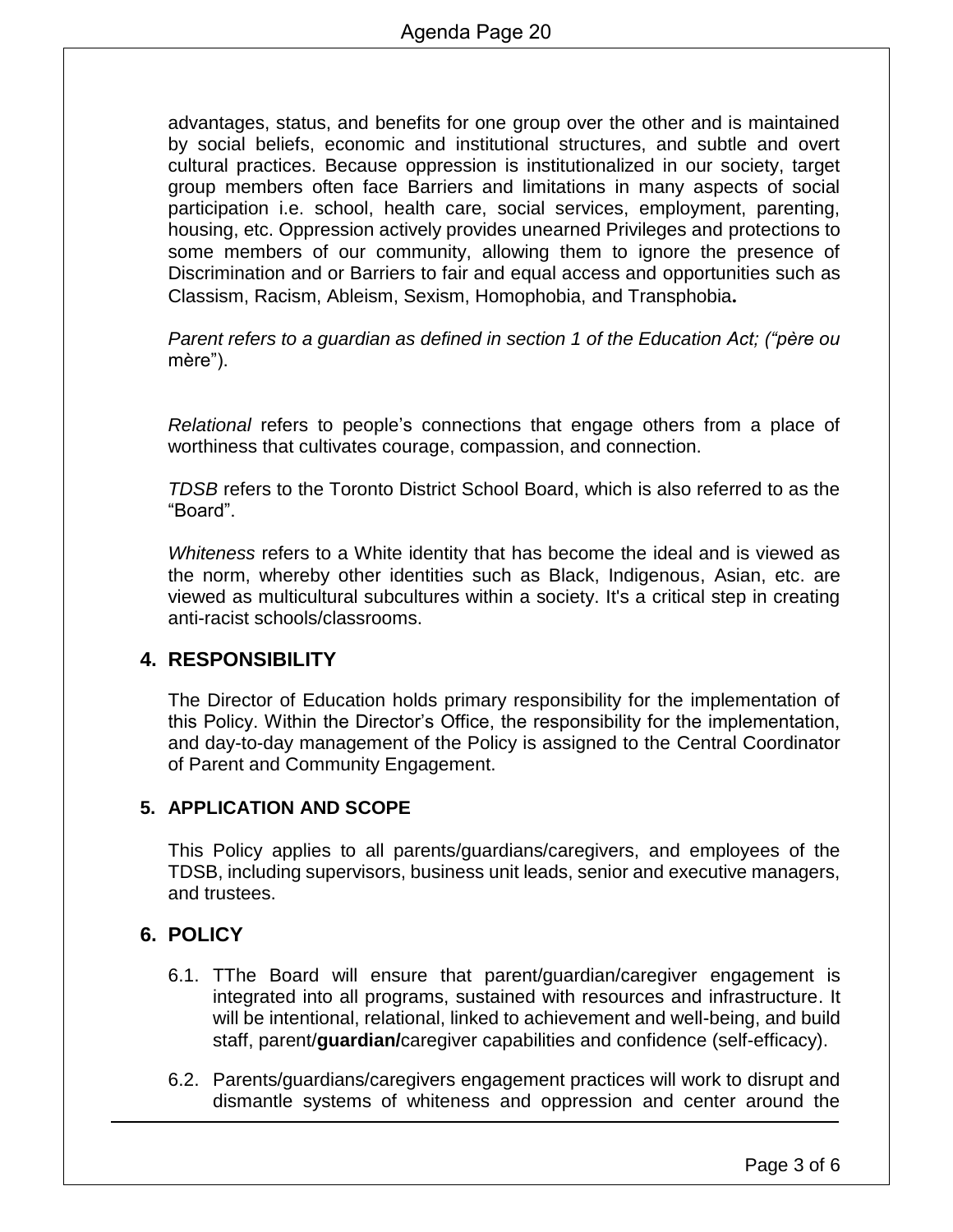advantages, status, and benefits for one group over the other and is maintained by social beliefs, economic and institutional structures, and subtle and overt cultural practices. Because oppression is institutionalized in our society, target group members often face Barriers and limitations in many aspects of social participation i.e. school, health care, social services, employment, parenting, housing, etc. Oppression actively provides unearned Privileges and protections to some members of our community, allowing them to ignore the presence of Discrimination and or Barriers to fair and equal access and opportunities such as Classism, Racism, Ableism, Sexism, Homophobia, and Transphobia**.**

*Parent refers to a guardian as defined in section 1 of the Education Act; ("père ou*  mère").

*Relational* refers to people's connections that engage others from a place of worthiness that cultivates courage, compassion, and connection.

*TDSB* refers to the Toronto District School Board, which is also referred to as the "Board".

*Whiteness* refers to a White identity that has become the ideal and is viewed as the norm, whereby other identities such as Black, Indigenous, Asian, etc. are viewed as multicultural subcultures within a society. It's a critical step in creating anti-racist schools/classrooms.

## **4. RESPONSIBILITY**

The Director of Education holds primary responsibility for the implementation of this Policy. Within the Director's Office, the responsibility for the implementation, and day-to-day management of the Policy is assigned to the Central Coordinator of Parent and Community Engagement.

## **5. APPLICATION AND SCOPE**

This Policy applies to all parents/guardians/caregivers, and employees of the TDSB, including supervisors, business unit leads, senior and executive managers, and trustees.

## **6. POLICY**

- 6.1. TThe Board will ensure that parent/guardian/caregiver engagement is integrated into all programs, sustained with resources and infrastructure. It will be intentional, relational, linked to achievement and well-being, and build staff, parent/**guardian/**caregiver capabilities and confidence (self-efficacy).
- 6.2. Parents/guardians/caregivers engagement practices will work to disrupt and dismantle systems of whiteness and oppression and center around the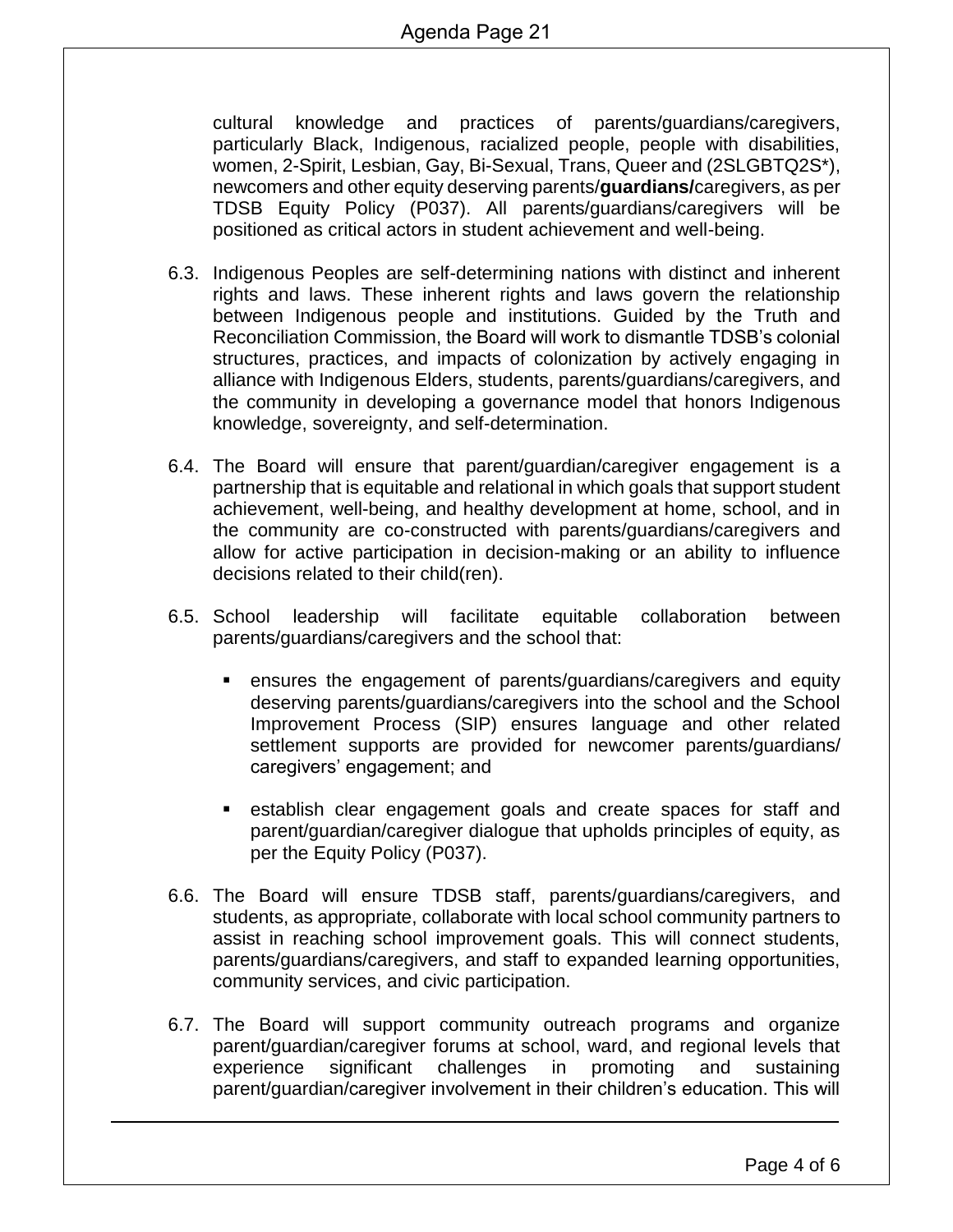cultural knowledge and practices of parents/guardians/caregivers, particularly Black, Indigenous, racialized people, people with disabilities, women, 2-Spirit, Lesbian, Gay, Bi-Sexual, Trans, Queer and (2SLGBTQ2S\*), newcomers and other equity deserving parents/**guardians/**caregivers, as per TDSB Equity Policy (P037). All parents/guardians/caregivers will be positioned as critical actors in student achievement and well-being.

- 6.3. Indigenous Peoples are self-determining nations with distinct and inherent rights and laws. These inherent rights and laws govern the relationship between Indigenous people and institutions. Guided by the Truth and Reconciliation Commission, the Board will work to dismantle TDSB's colonial structures, practices, and impacts of colonization by actively engaging in alliance with Indigenous Elders, students, parents/guardians/caregivers, and the community in developing a governance model that honors Indigenous knowledge, sovereignty, and self-determination.
- 6.4. The Board will ensure that parent/guardian/caregiver engagement is a partnership that is equitable and relational in which goals that support student achievement, well-being, and healthy development at home, school, and in the community are co-constructed with parents/guardians/caregivers and allow for active participation in decision-making or an ability to influence decisions related to their child(ren).
- 6.5. School leadership will facilitate equitable collaboration between parents/guardians/caregivers and the school that:
	- ensures the engagement of parents/guardians/caregivers and equity deserving parents/guardians/caregivers into the school and the School Improvement Process (SIP) ensures language and other related settlement supports are provided for newcomer parents/guardians/ caregivers' engagement; and
	- establish clear engagement goals and create spaces for staff and parent/guardian/caregiver dialogue that upholds principles of equity, as per the Equity Policy (P037).
- 6.6. The Board will ensure TDSB staff, parents/guardians/caregivers, and students, as appropriate, collaborate with local school community partners to assist in reaching school improvement goals. This will connect students, parents/guardians/caregivers, and staff to expanded learning opportunities, community services, and civic participation.
- 6.7. The Board will support community outreach programs and organize parent/guardian/caregiver forums at school, ward, and regional levels that experience significant challenges in promoting and sustaining parent/guardian/caregiver involvement in their children's education. This will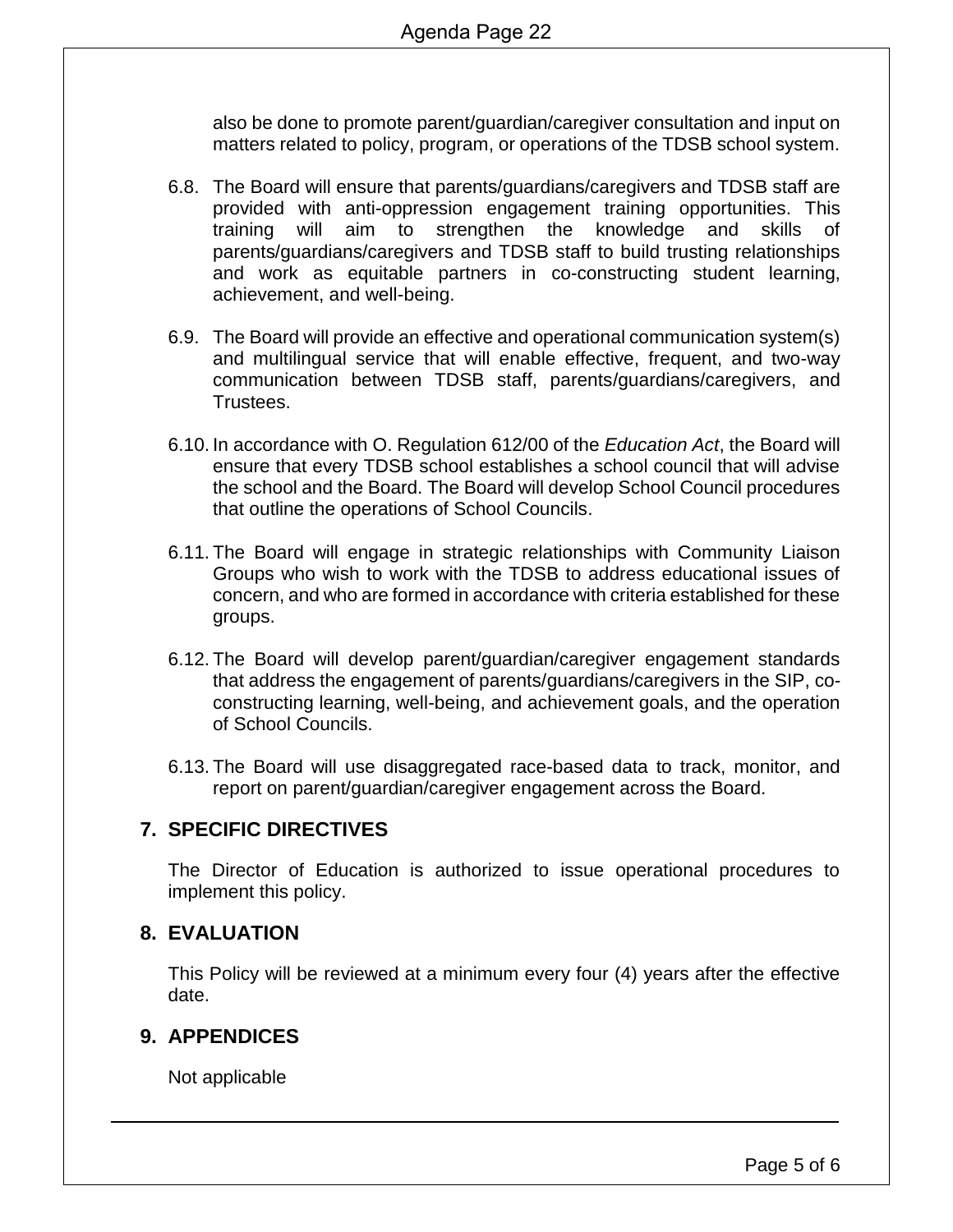also be done to promote parent/guardian/caregiver consultation and input on matters related to policy, program, or operations of the TDSB school system.

- 6.8. The Board will ensure that parents/guardians/caregivers and TDSB staff are provided with anti-oppression engagement training opportunities. This training will aim to strengthen the knowledge and skills of parents/guardians/caregivers and TDSB staff to build trusting relationships and work as equitable partners in co-constructing student learning, achievement, and well-being.
- 6.9. The Board will provide an effective and operational communication system(s) and multilingual service that will enable effective, frequent, and two-way communication between TDSB staff, parents/guardians/caregivers, and Trustees.
- 6.10. In accordance with O. Regulation 612/00 of the *Education Act*, the Board will ensure that every TDSB school establishes a school council that will advise the school and the Board. The Board will develop School Council procedures that outline the operations of School Councils.
- 6.11. The Board will engage in strategic relationships with Community Liaison Groups who wish to work with the TDSB to address educational issues of concern, and who are formed in accordance with criteria established for these groups.
- 6.12. The Board will develop parent/guardian/caregiver engagement standards that address the engagement of parents/guardians/caregivers in the SIP, coconstructing learning, well-being, and achievement goals, and the operation of School Councils.
- 6.13. The Board will use disaggregated race-based data to track, monitor, and report on parent/guardian/caregiver engagement across the Board.

## **7. SPECIFIC DIRECTIVES**

The Director of Education is authorized to issue operational procedures to implement this policy.

## **8. EVALUATION**

This Policy will be reviewed at a minimum every four (4) years after the effective date.

## **9. APPENDICES**

Not applicable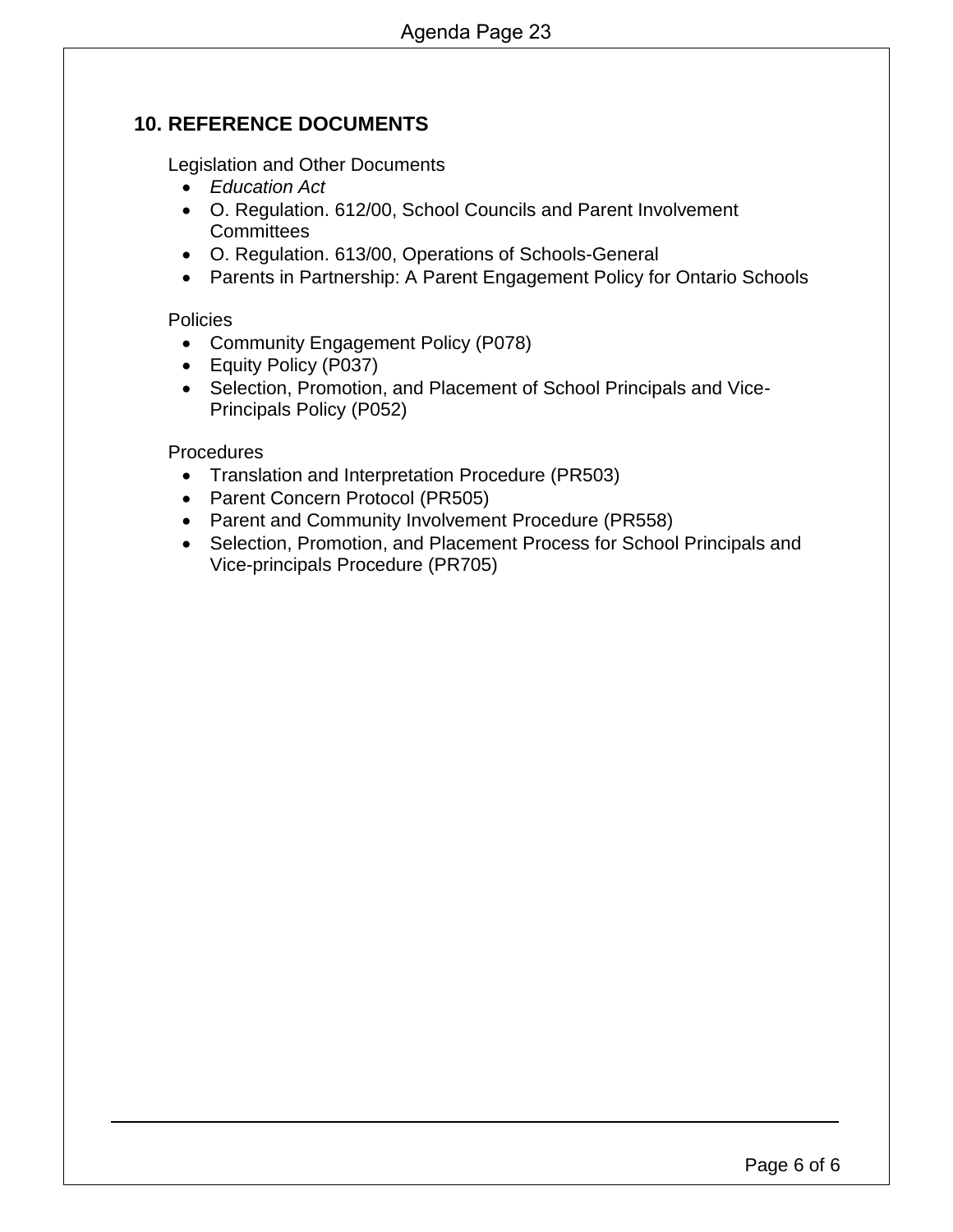## **10. REFERENCE DOCUMENTS**

Legislation and Other Documents

- *Education Act*
- O. Regulation. 612/00, School Councils and Parent Involvement **Committees**
- O. Regulation. 613/00, Operations of Schools-General
- Parents in Partnership: A Parent Engagement Policy for Ontario Schools

#### Policies

- Community Engagement Policy (P078)
- Equity Policy (P037)
- Selection, Promotion, and Placement of School Principals and Vice-Principals Policy (P052)

#### **Procedures**

- Translation and Interpretation Procedure (PR503)
- Parent Concern Protocol (PR505)
- Parent and Community Involvement Procedure (PR558)
- Selection, Promotion, and Placement Process for School Principals and Vice-principals Procedure (PR705)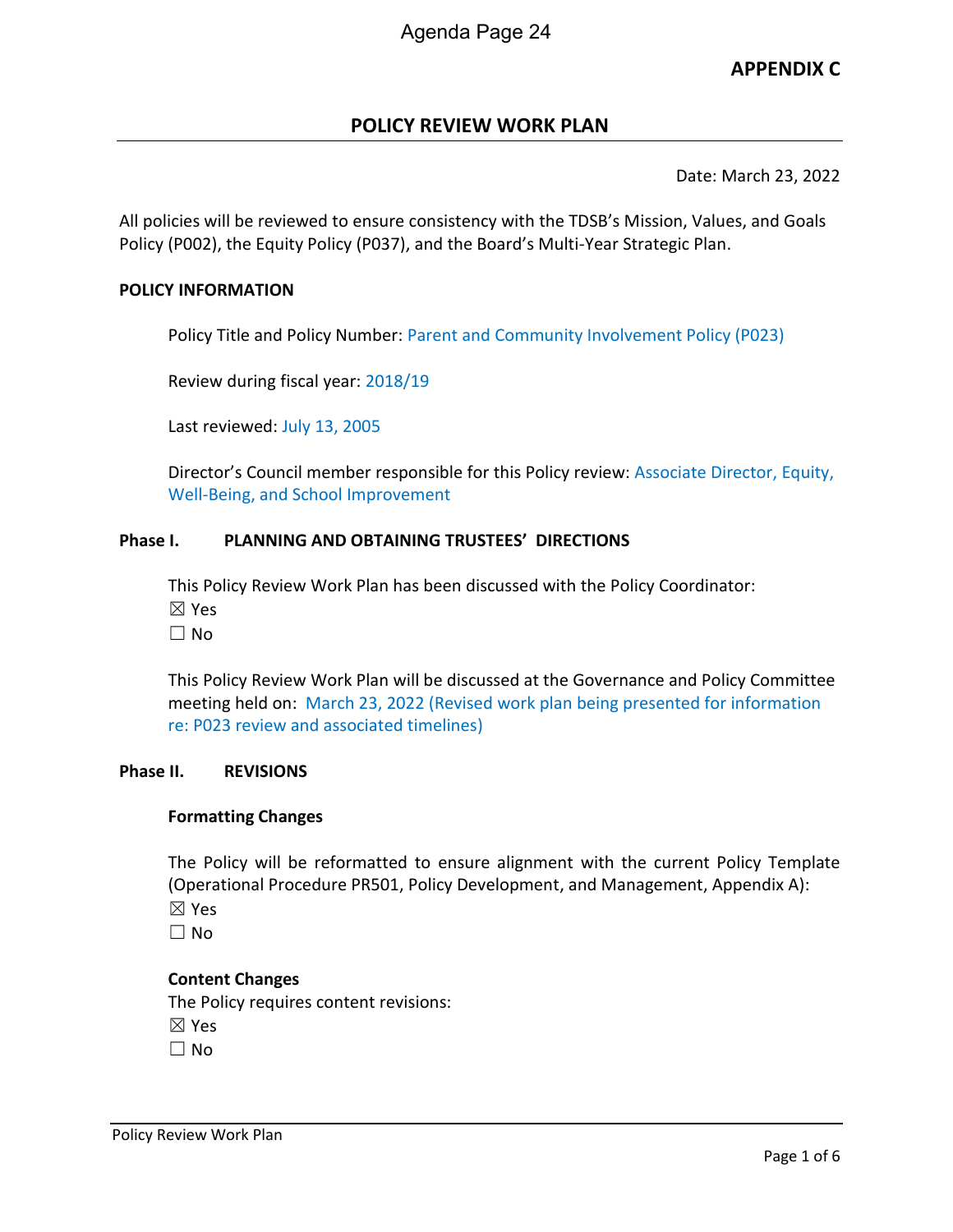## **APPENDIX C**

## **POLICY REVIEW WORK PLAN**

Date: March 23, 2022

All policies will be reviewed to ensure consistency with the TDSB's Mission, Values, and Goals Policy (P002), the Equity Policy (P037), and the Board's Multi-Year Strategic Plan.

#### **POLICY INFORMATION**

Policy Title and Policy Number: Parent and Community Involvement Policy (P023)

Review during fiscal year: 2018/19

Last reviewed: July 13, 2005

Director's Council member responsible for this Policy review: Associate Director, Equity, Well-Being, and School Improvement

#### **Phase I. PLANNING AND OBTAINING TRUSTEES' DIRECTIONS**

This Policy Review Work Plan has been discussed with the Policy Coordinator: ☒ Yes

 $\Box$  No

This Policy Review Work Plan will be discussed at the Governance and Policy Committee meeting held on: March 23, 2022 (Revised work plan being presented for information re: P023 review and associated timelines)

#### **Phase II. REVISIONS**

#### **Formatting Changes**

The Policy will be reformatted to ensure alignment with the current Policy Template (Operational Procedure PR501, Policy Development, and Management, Appendix A): ☒ Yes

 $\Box$  No

#### **Content Changes**

The Policy requires content revisions: ☒ Yes  $\square$  No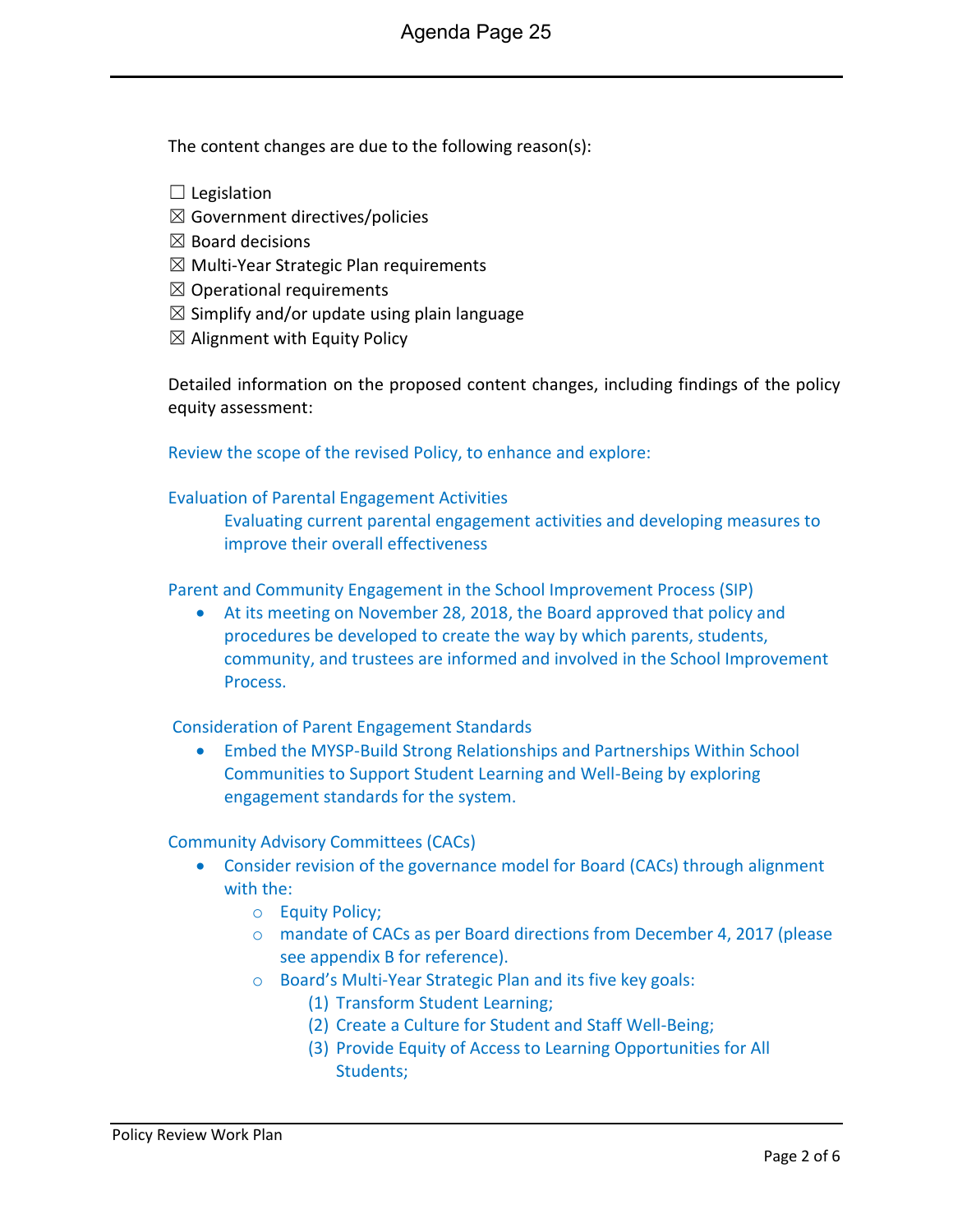The content changes are due to the following reason(s):

- $\Box$  Legislation
- $\boxtimes$  Government directives/policies
- $\boxtimes$  Board decisions
- $\boxtimes$  Multi-Year Strategic Plan requirements
- $\boxtimes$  Operational requirements
- $\boxtimes$  Simplify and/or update using plain language
- $\boxtimes$  Alignment with Equity Policy

Detailed information on the proposed content changes, including findings of the policy equity assessment:

Review the scope of the revised Policy, to enhance and explore:

#### Evaluation of Parental Engagement Activities

Evaluating current parental engagement activities and developing measures to improve their overall effectiveness

Parent and Community Engagement in the School Improvement Process (SIP)

 At its meeting on November 28, 2018, the Board approved that policy and procedures be developed to create the way by which parents, students, community, and trustees are informed and involved in the School Improvement Process.

#### Consideration of Parent Engagement Standards

 Embed the MYSP-Build Strong Relationships and Partnerships Within School Communities to Support Student Learning and Well-Being by exploring engagement standards for the system.

#### Community Advisory Committees (CACs)

- Consider revision of the governance model for Board (CACs) through alignment with the:
	- o Equity Policy;
	- o mandate of CACs as per Board directions from December 4, 2017 (please see appendix B for reference).
	- o Board's Multi-Year Strategic Plan and its five key goals:
		- (1) Transform Student Learning;
		- (2) Create a Culture for Student and Staff Well-Being;
		- (3) Provide Equity of Access to Learning Opportunities for All Students;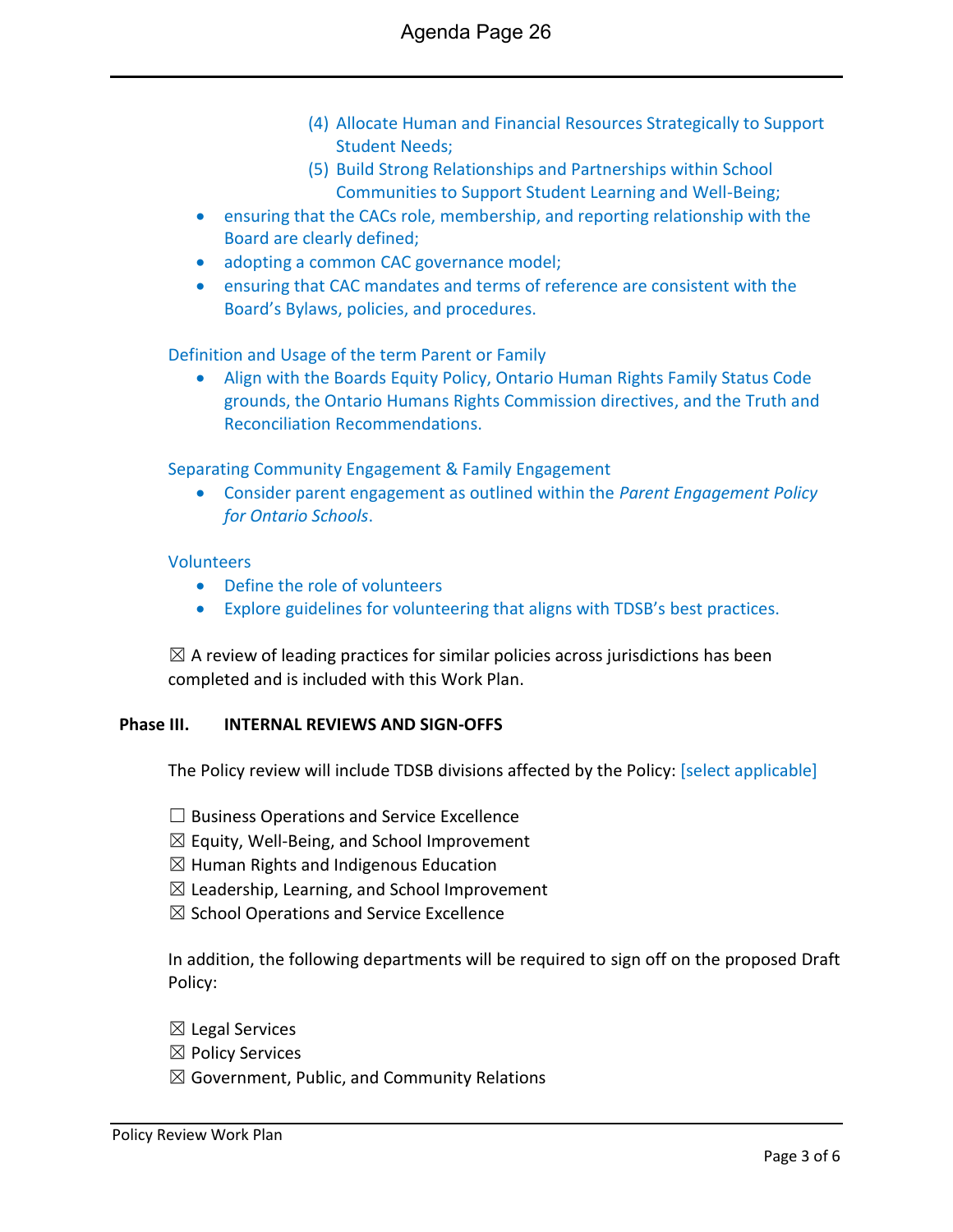- (4) Allocate Human and Financial Resources Strategically to Support Student Needs;
- (5) Build Strong Relationships and Partnerships within School Communities to Support Student Learning and Well-Being;
- ensuring that the CACs role, membership, and reporting relationship with the Board are clearly defined;
- adopting a common CAC governance model;
- ensuring that CAC mandates and terms of reference are consistent with the Board's Bylaws, policies, and procedures.

Definition and Usage of the term Parent or Family

 Align with the Boards Equity Policy, Ontario Human Rights Family Status Code grounds, the Ontario Humans Rights Commission directives, and the Truth and Reconciliation Recommendations.

Separating Community Engagement & Family Engagement

 Consider parent engagement as outlined within the *Parent Engagement Policy for Ontario Schools*.

#### **Volunteers**

- Define the role of volunteers
- Explore guidelines for volunteering that aligns with TDSB's best practices.

 $\boxtimes$  A review of leading practices for similar policies across jurisdictions has been completed and is included with this Work Plan.

#### **Phase III. INTERNAL REVIEWS AND SIGN-OFFS**

The Policy review will include TDSB divisions affected by the Policy: [select applicable]

 $\Box$  Business Operations and Service Excellence

 $\boxtimes$  Equity, Well-Being, and School Improvement

 $\boxtimes$  Human Rights and Indigenous Education

- $\boxtimes$  Leadership, Learning, and School Improvement
- $\boxtimes$  School Operations and Service Excellence

In addition, the following departments will be required to sign off on the proposed Draft Policy:

- $\boxtimes$  Legal Services
- ☒ Policy Services
- $\boxtimes$  Government, Public, and Community Relations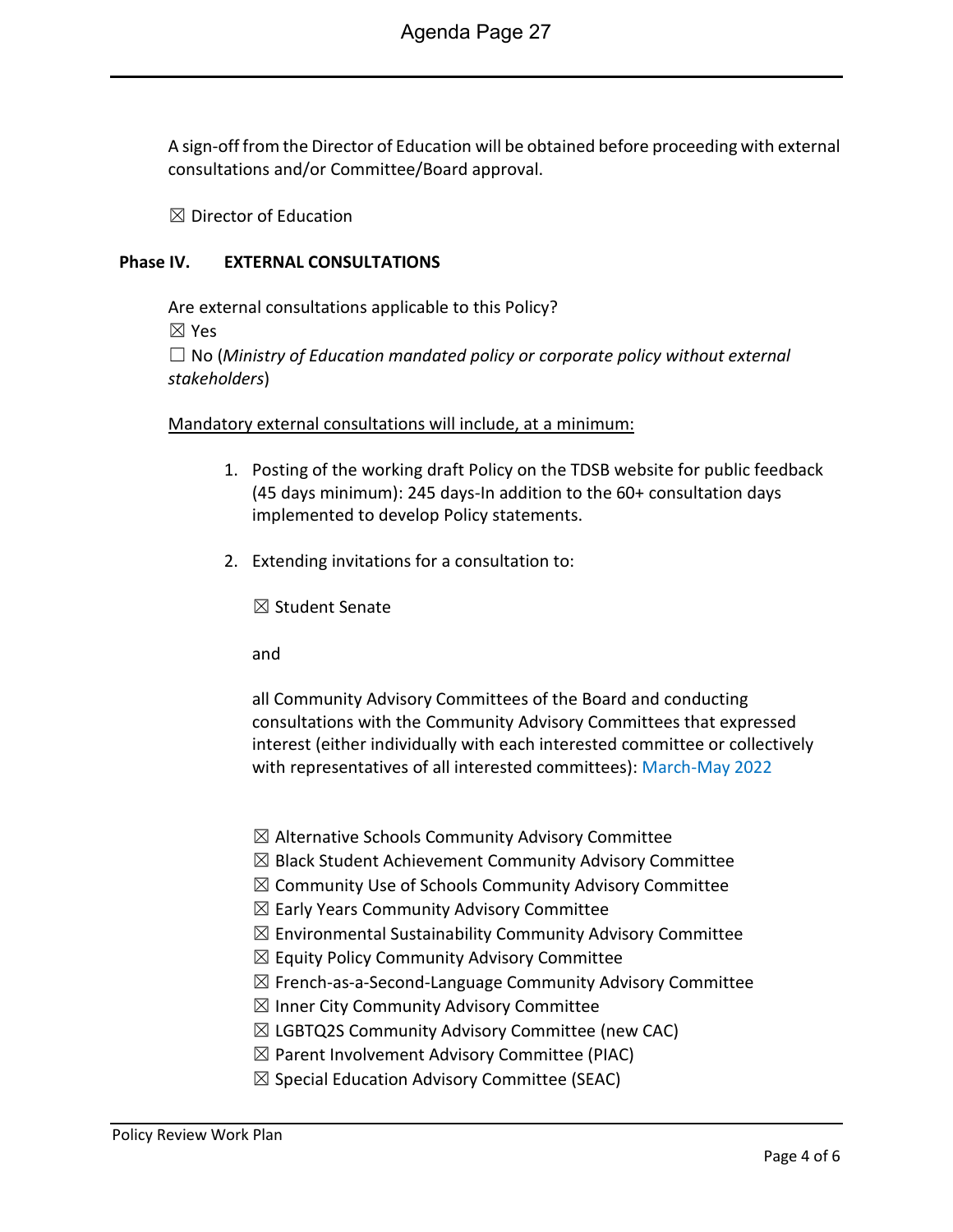A sign-off from the Director of Education will be obtained before proceeding with external consultations and/or Committee/Board approval.

 $\boxtimes$  Director of Education

#### **Phase IV. EXTERNAL CONSULTATIONS**

Are external consultations applicable to this Policy? ☒ Yes ☐ No (*Ministry of Education mandated policy or corporate policy without external stakeholders*)

#### Mandatory external consultations will include, at a minimum:

- 1. Posting of the working draft Policy on the TDSB website for public feedback (45 days minimum): 245 days-In addition to the 60+ consultation days implemented to develop Policy statements.
- 2. Extending invitations for a consultation to:

☒ Student Senate

and

all Community Advisory Committees of the Board and conducting consultations with the Community Advisory Committees that expressed interest (either individually with each interested committee or collectively with representatives of all interested committees): March-May 2022

- $\boxtimes$  Alternative Schools Community Advisory Committee
- $\boxtimes$  Black Student Achievement Community Advisory Committee
- $\boxtimes$  Community Use of Schools Community Advisory Committee
- $\boxtimes$  Early Years Community Advisory Committee
- $\boxtimes$  Environmental Sustainability Community Advisory Committee
- $\boxtimes$  Equity Policy Community Advisory Committee
- $\boxtimes$  French-as-a-Second-Language Community Advisory Committee
- $\boxtimes$  Inner City Community Advisory Committee
- $\boxtimes$  LGBTQ2S Community Advisory Committee (new CAC)
- $\boxtimes$  Parent Involvement Advisory Committee (PIAC)
- $\boxtimes$  Special Education Advisory Committee (SEAC)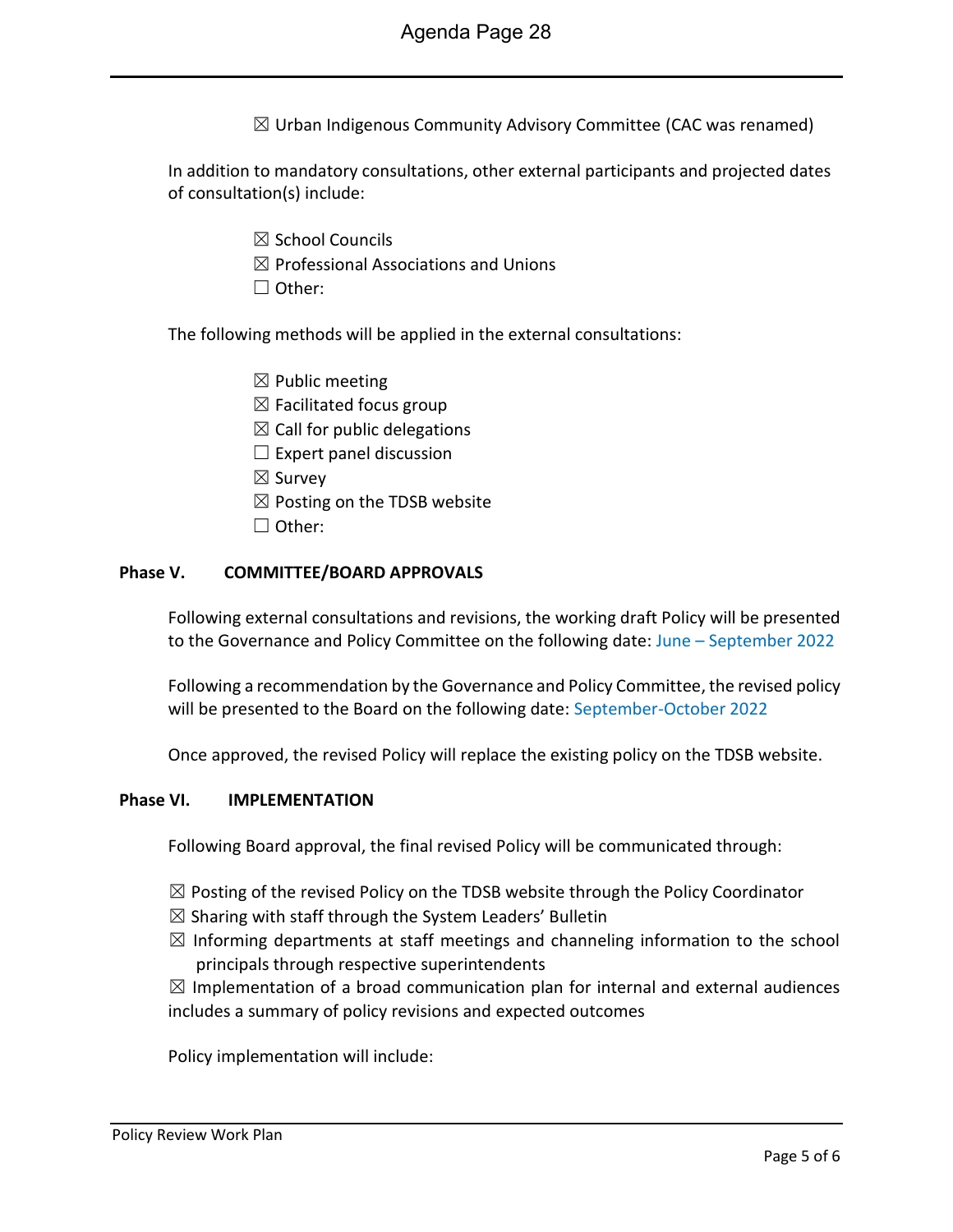$\boxtimes$  Urban Indigenous Community Advisory Committee (CAC was renamed)

In addition to mandatory consultations, other external participants and projected dates of consultation(s) include:

- ☒ School Councils
- $\boxtimes$  Professional Associations and Unions
- ☐ Other:

The following methods will be applied in the external consultations:

- $\boxtimes$  Public meeting
- $\boxtimes$  Facilitated focus group
- $\boxtimes$  Call for public delegations
- $\Box$  Expert panel discussion
- ☒ Survey
- $\boxtimes$  Posting on the TDSB website
- ☐ Other:

#### **Phase V. COMMITTEE/BOARD APPROVALS**

Following external consultations and revisions, the working draft Policy will be presented to the Governance and Policy Committee on the following date: June - September 2022

Following a recommendation by the Governance and Policy Committee, the revised policy will be presented to the Board on the following date: September-October 2022

Once approved, the revised Policy will replace the existing policy on the TDSB website.

#### **Phase VI. IMPLEMENTATION**

Following Board approval, the final revised Policy will be communicated through:

- $\boxtimes$  Posting of the revised Policy on the TDSB website through the Policy Coordinator
- $\boxtimes$  Sharing with staff through the System Leaders' Bulletin
- $\boxtimes$  Informing departments at staff meetings and channeling information to the school principals through respective superintendents

 $\boxtimes$  Implementation of a broad communication plan for internal and external audiences includes a summary of policy revisions and expected outcomes

Policy implementation will include: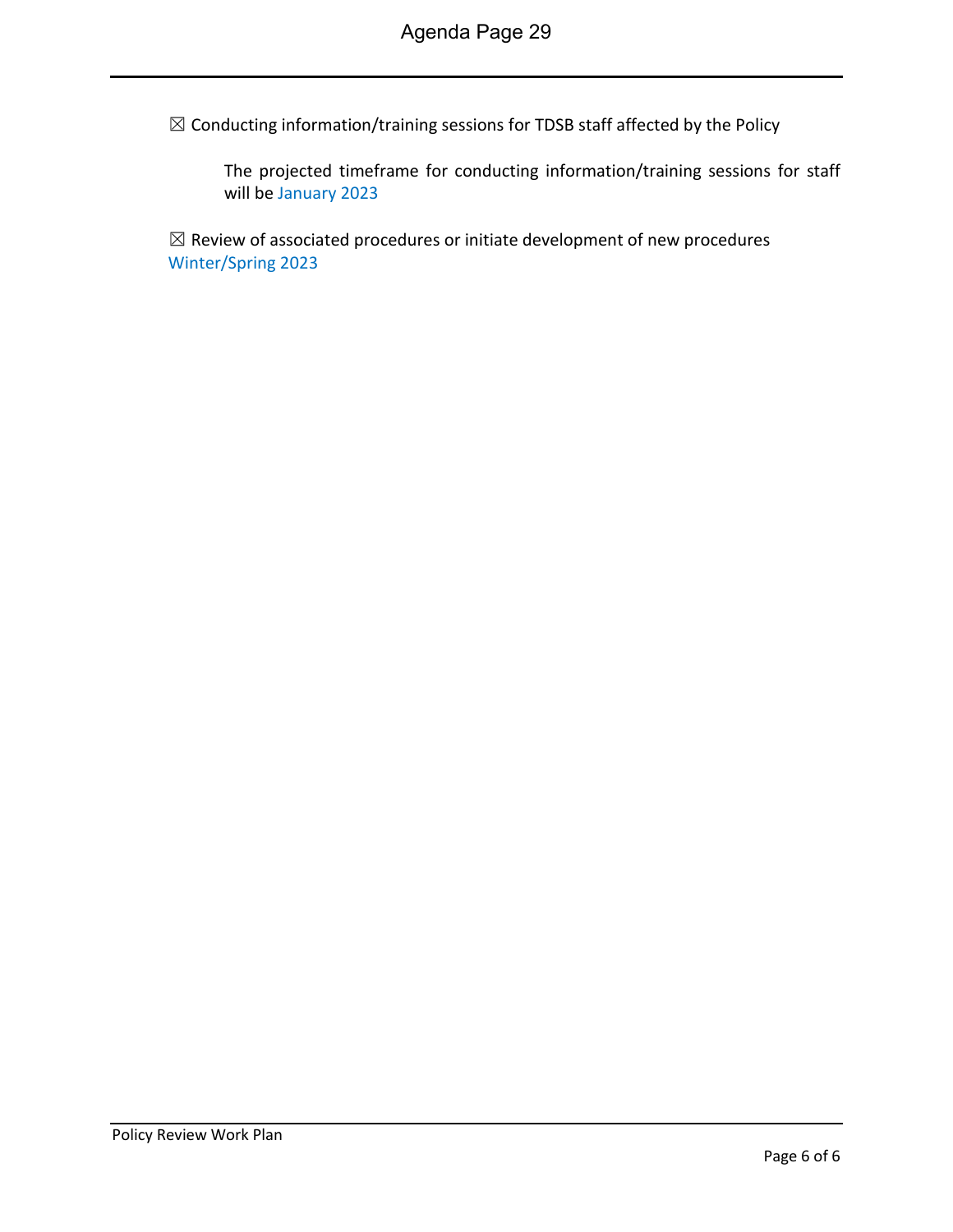$\boxtimes$  Conducting information/training sessions for TDSB staff affected by the Policy

The projected timeframe for conducting information/training sessions for staff will be January 2023

 $\boxtimes$  Review of associated procedures or initiate development of new procedures Winter/Spring 2023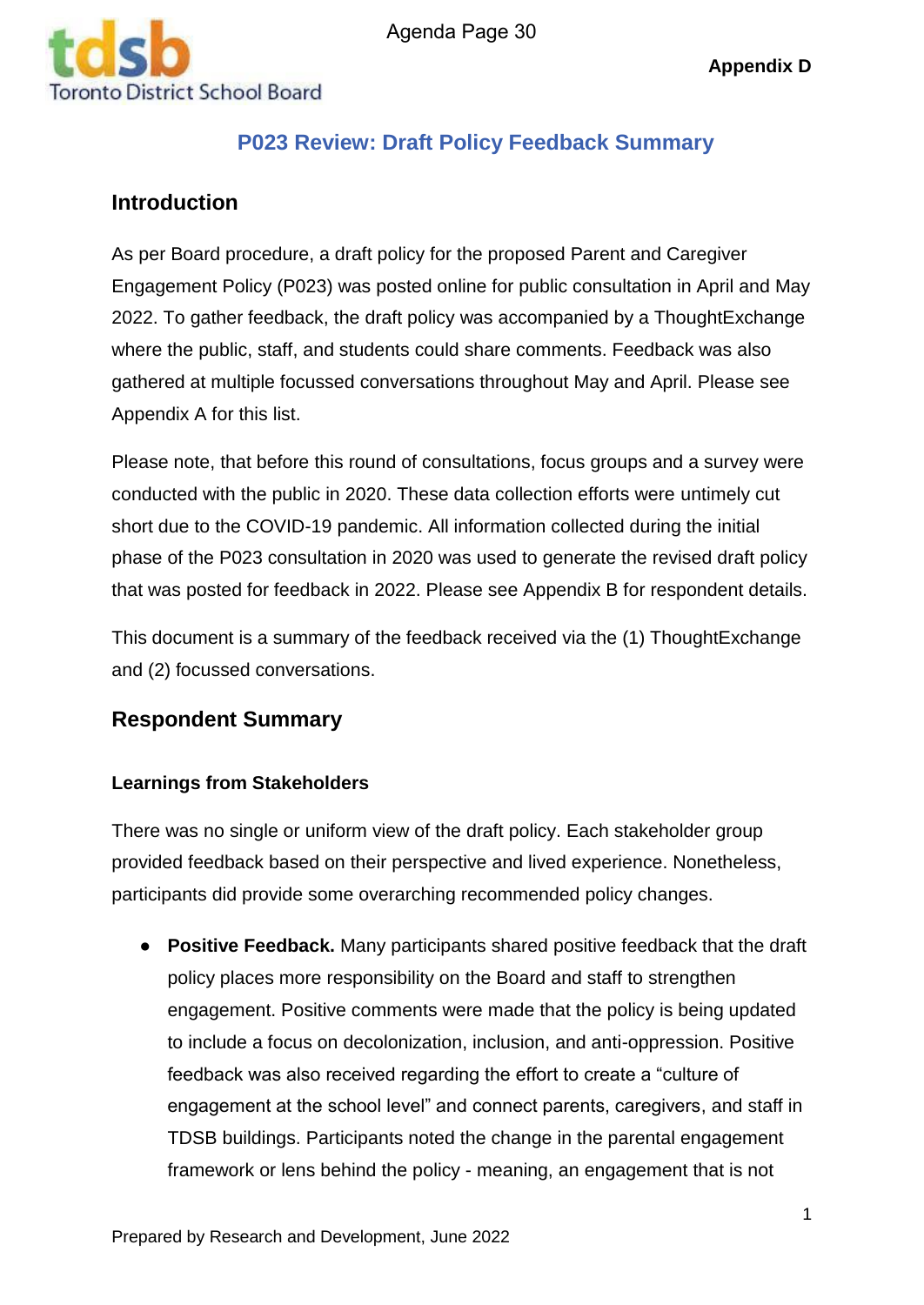

# **P023 Review: Draft Policy Feedback Summary**

# **Introduction**

As per Board procedure, a draft policy for the proposed Parent and Caregiver Engagement Policy (P023) was posted online for public consultation in April and May 2022. To gather feedback, the draft policy was accompanied by a ThoughtExchange where the public, staff, and students could share comments. Feedback was also gathered at multiple focussed conversations throughout May and April. Please see Appendix A for this list.

Please note, that before this round of consultations, focus groups and a survey were conducted with the public in 2020. These data collection efforts were untimely cut short due to the COVID-19 pandemic. All information collected during the initial phase of the P023 consultation in 2020 was used to generate the revised draft policy that was posted for feedback in 2022. Please see Appendix B for respondent details.

This document is a summary of the feedback received via the (1) ThoughtExchange and (2) focussed conversations.

# **Respondent Summary**

## **Learnings from Stakeholders**

There was no single or uniform view of the draft policy. Each stakeholder group provided feedback based on their perspective and lived experience. Nonetheless, participants did provide some overarching recommended policy changes.

● **Positive Feedback.** Many participants shared positive feedback that the draft policy places more responsibility on the Board and staff to strengthen engagement. Positive comments were made that the policy is being updated to include a focus on decolonization, inclusion, and anti-oppression. Positive feedback was also received regarding the effort to create a "culture of engagement at the school level" and connect parents, caregivers, and staff in TDSB buildings. Participants noted the change in the parental engagement framework or lens behind the policy - meaning, an engagement that is not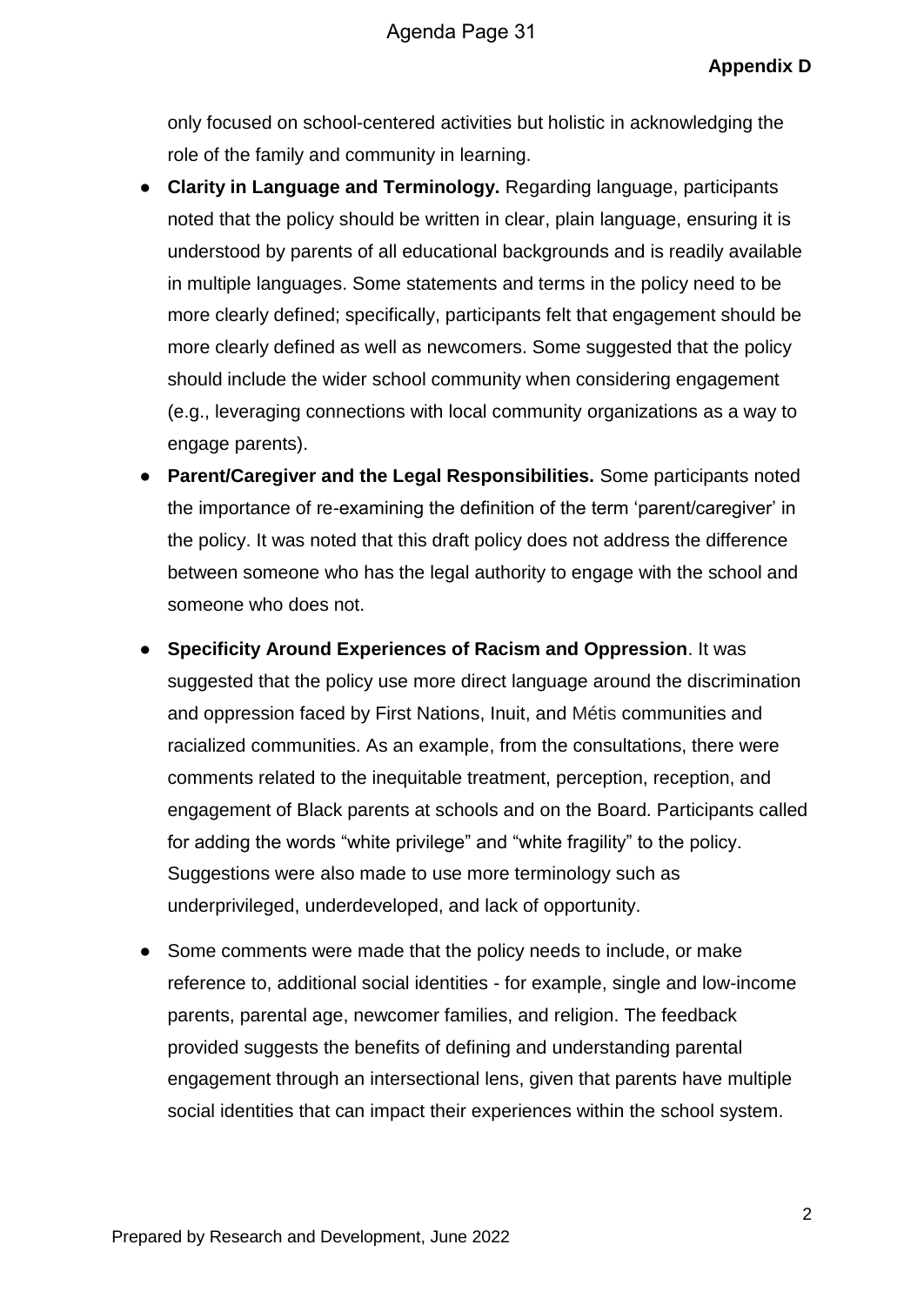only focused on school-centered activities but holistic in acknowledging the role of the family and community in learning.

- **Clarity in Language and Terminology.** Regarding language, participants noted that the policy should be written in clear, plain language, ensuring it is understood by parents of all educational backgrounds and is readily available in multiple languages. Some statements and terms in the policy need to be more clearly defined; specifically, participants felt that engagement should be more clearly defined as well as newcomers. Some suggested that the policy should include the wider school community when considering engagement (e.g., leveraging connections with local community organizations as a way to engage parents).
- **Parent/Caregiver and the Legal Responsibilities.** Some participants noted the importance of re-examining the definition of the term 'parent/caregiver' in the policy. It was noted that this draft policy does not address the difference between someone who has the legal authority to engage with the school and someone who does not.
- **Specificity Around Experiences of Racism and Oppression**. It was suggested that the policy use more direct language around the discrimination and oppression faced by First Nations, Inuit, and Métis communities and racialized communities. As an example, from the consultations, there were comments related to the inequitable treatment, perception, reception, and engagement of Black parents at schools and on the Board. Participants called for adding the words "white privilege" and "white fragility" to the policy. Suggestions were also made to use more terminology such as underprivileged, underdeveloped, and lack of opportunity.
- Some comments were made that the policy needs to include, or make reference to, additional social identities - for example, single and low-income parents, parental age, newcomer families, and religion. The feedback provided suggests the benefits of defining and understanding parental engagement through an intersectional lens, given that parents have multiple social identities that can impact their experiences within the school system.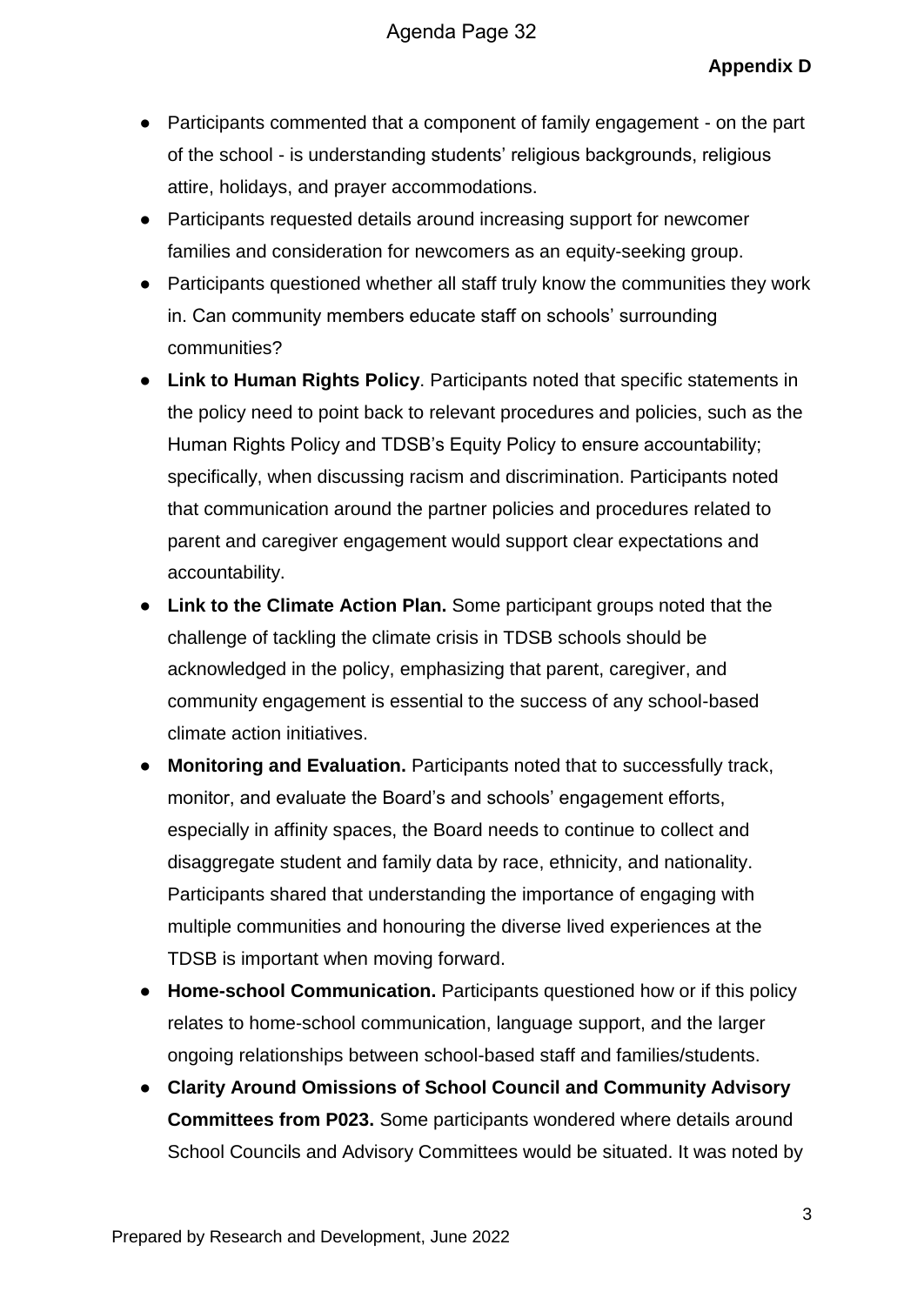- Participants commented that a component of family engagement on the part of the school - is understanding students' religious backgrounds, religious attire, holidays, and prayer accommodations.
- Participants requested details around increasing support for newcomer families and consideration for newcomers as an equity-seeking group.
- Participants questioned whether all staff truly know the communities they work in. Can community members educate staff on schools' surrounding communities?
- **Link to Human Rights Policy**. Participants noted that specific statements in the policy need to point back to relevant procedures and policies, such as the Human Rights Policy and TDSB's Equity Policy to ensure accountability; specifically, when discussing racism and discrimination. Participants noted that communication around the partner policies and procedures related to parent and caregiver engagement would support clear expectations and accountability.
- **Link to the Climate Action Plan.** Some participant groups noted that the challenge of tackling the climate crisis in TDSB schools should be acknowledged in the policy, emphasizing that parent, caregiver, and community engagement is essential to the success of any school-based climate action initiatives.
- **Monitoring and Evaluation.** Participants noted that to successfully track, monitor, and evaluate the Board's and schools' engagement efforts, especially in affinity spaces, the Board needs to continue to collect and disaggregate student and family data by race, ethnicity, and nationality. Participants shared that understanding the importance of engaging with multiple communities and honouring the diverse lived experiences at the TDSB is important when moving forward.
- **Home-school Communication.** Participants questioned how or if this policy relates to home-school communication, language support, and the larger ongoing relationships between school-based staff and families/students.
- **Clarity Around Omissions of School Council and Community Advisory Committees from P023.** Some participants wondered where details around School Councils and Advisory Committees would be situated. It was noted by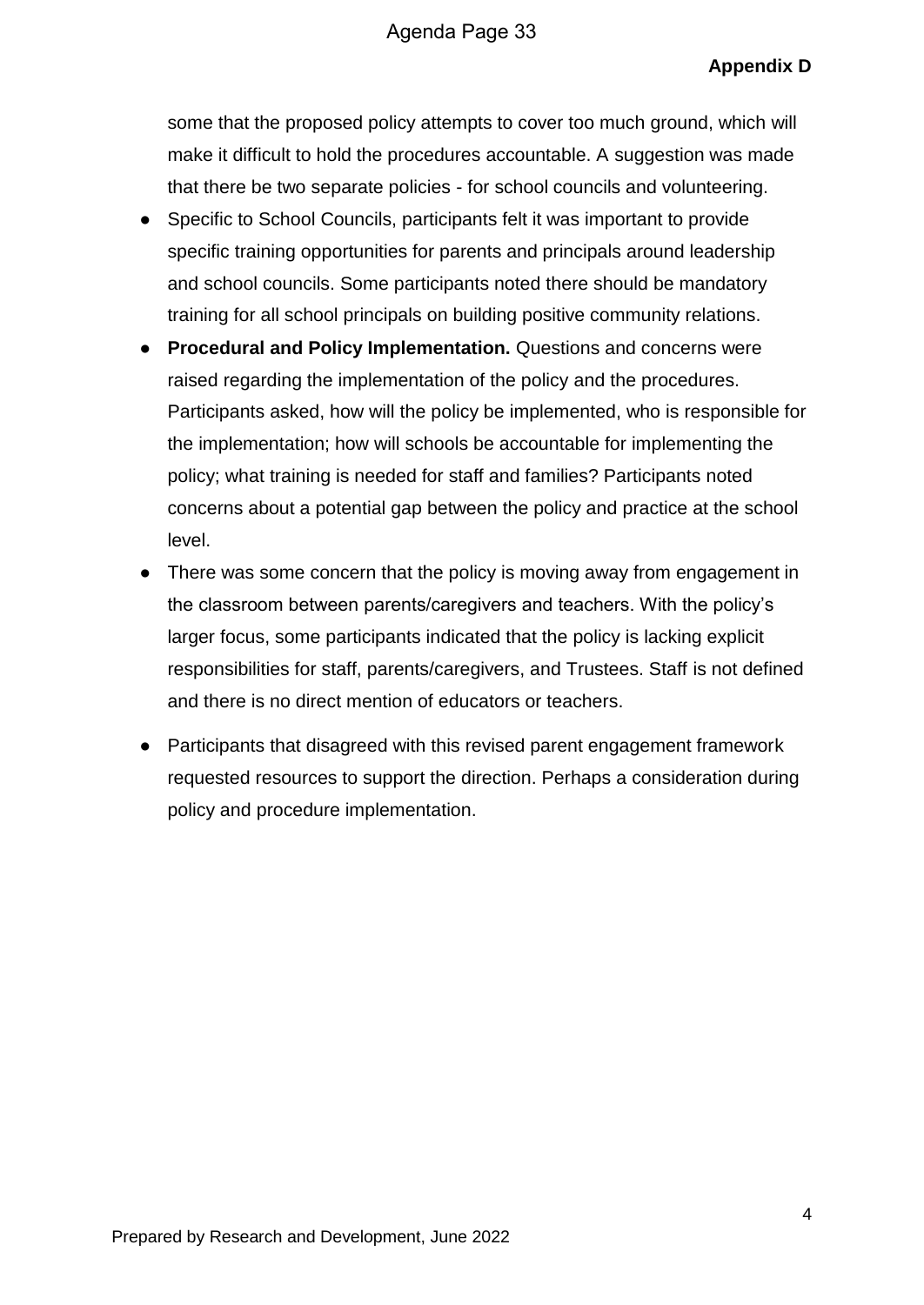## **Appendix D**

some that the proposed policy attempts to cover too much ground, which will make it difficult to hold the procedures accountable. A suggestion was made that there be two separate policies - for school councils and volunteering.

- Specific to School Councils, participants felt it was important to provide specific training opportunities for parents and principals around leadership and school councils. Some participants noted there should be mandatory training for all school principals on building positive community relations.
- **Procedural and Policy Implementation.** Questions and concerns were raised regarding the implementation of the policy and the procedures. Participants asked, how will the policy be implemented, who is responsible for the implementation; how will schools be accountable for implementing the policy; what training is needed for staff and families? Participants noted concerns about a potential gap between the policy and practice at the school level.
- There was some concern that the policy is moving away from engagement in the classroom between parents/caregivers and teachers. With the policy's larger focus, some participants indicated that the policy is lacking explicit responsibilities for staff, parents/caregivers, and Trustees. Staff is not defined and there is no direct mention of educators or teachers.
- Participants that disagreed with this revised parent engagement framework requested resources to support the direction. Perhaps a consideration during policy and procedure implementation.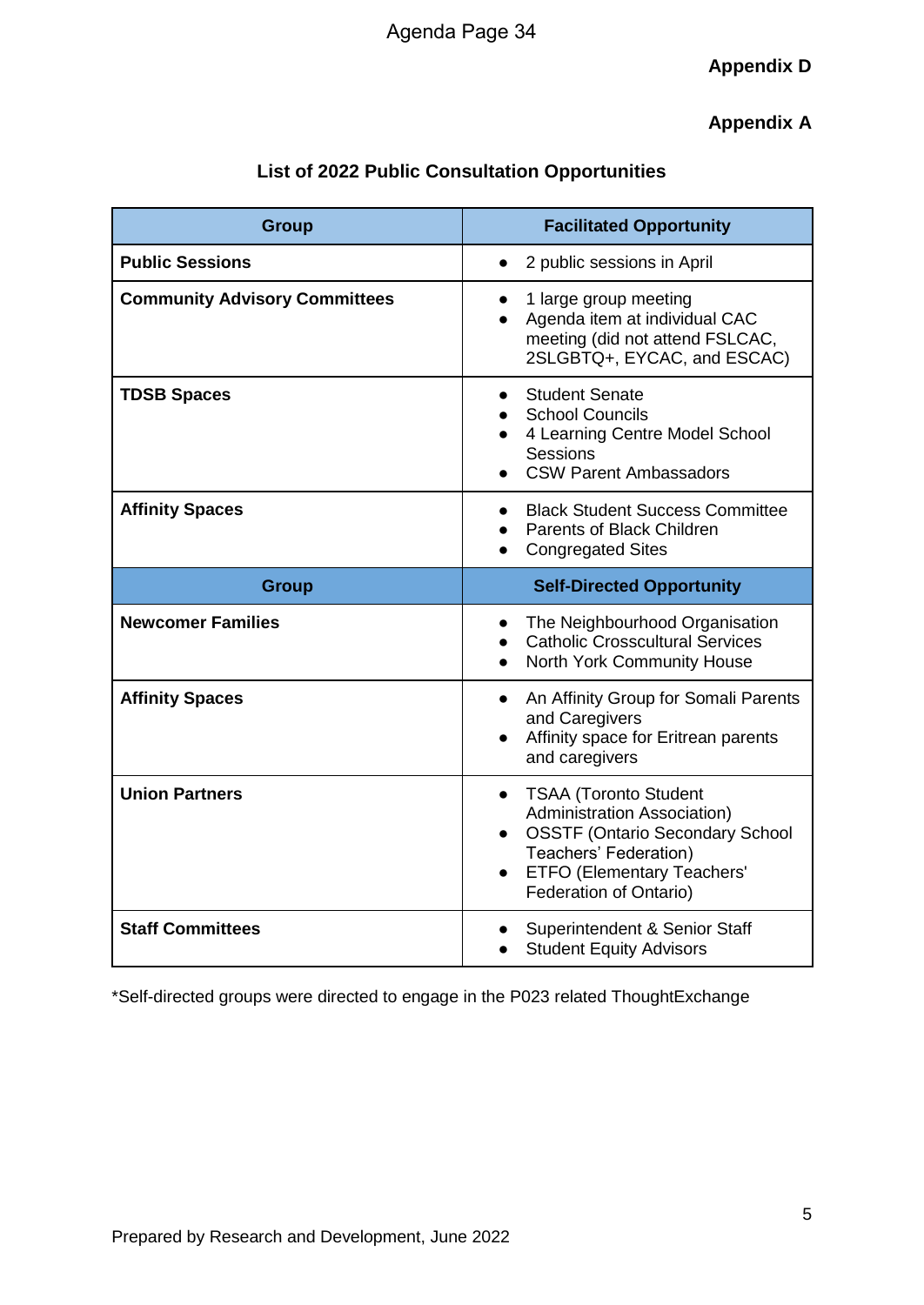# **Appendix A**

| <b>List of 2022 Public Consultation Opportunities</b> |  |  |
|-------------------------------------------------------|--|--|
|-------------------------------------------------------|--|--|

| <b>Group</b>                         | <b>Facilitated Opportunity</b>                                                                                                                                                                             |
|--------------------------------------|------------------------------------------------------------------------------------------------------------------------------------------------------------------------------------------------------------|
| <b>Public Sessions</b>               | 2 public sessions in April                                                                                                                                                                                 |
| <b>Community Advisory Committees</b> | 1 large group meeting<br>Agenda item at individual CAC<br>meeting (did not attend FSLCAC,<br>2SLGBTQ+, EYCAC, and ESCAC)                                                                                   |
| <b>TDSB Spaces</b>                   | <b>Student Senate</b><br>$\bullet$<br><b>School Councils</b><br>4 Learning Centre Model School<br>Sessions<br><b>CSW Parent Ambassadors</b>                                                                |
| <b>Affinity Spaces</b>               | <b>Black Student Success Committee</b><br><b>Parents of Black Children</b><br><b>Congregated Sites</b>                                                                                                     |
| <b>Group</b>                         | <b>Self-Directed Opportunity</b>                                                                                                                                                                           |
| <b>Newcomer Families</b>             | The Neighbourhood Organisation<br><b>Catholic Crosscultural Services</b><br>North York Community House                                                                                                     |
| <b>Affinity Spaces</b>               | An Affinity Group for Somali Parents<br>$\bullet$<br>and Caregivers<br>Affinity space for Eritrean parents<br>and caregivers                                                                               |
| <b>Union Partners</b>                | <b>TSAA (Toronto Student</b><br>$\bullet$<br>Administration Association)<br><b>OSSTF (Ontario Secondary School</b><br>Teachers' Federation)<br><b>ETFO (Elementary Teachers'</b><br>Federation of Ontario) |
| <b>Staff Committees</b>              | Superintendent & Senior Staff<br><b>Student Equity Advisors</b>                                                                                                                                            |

\*Self-directed groups were directed to engage in the P023 related ThoughtExchange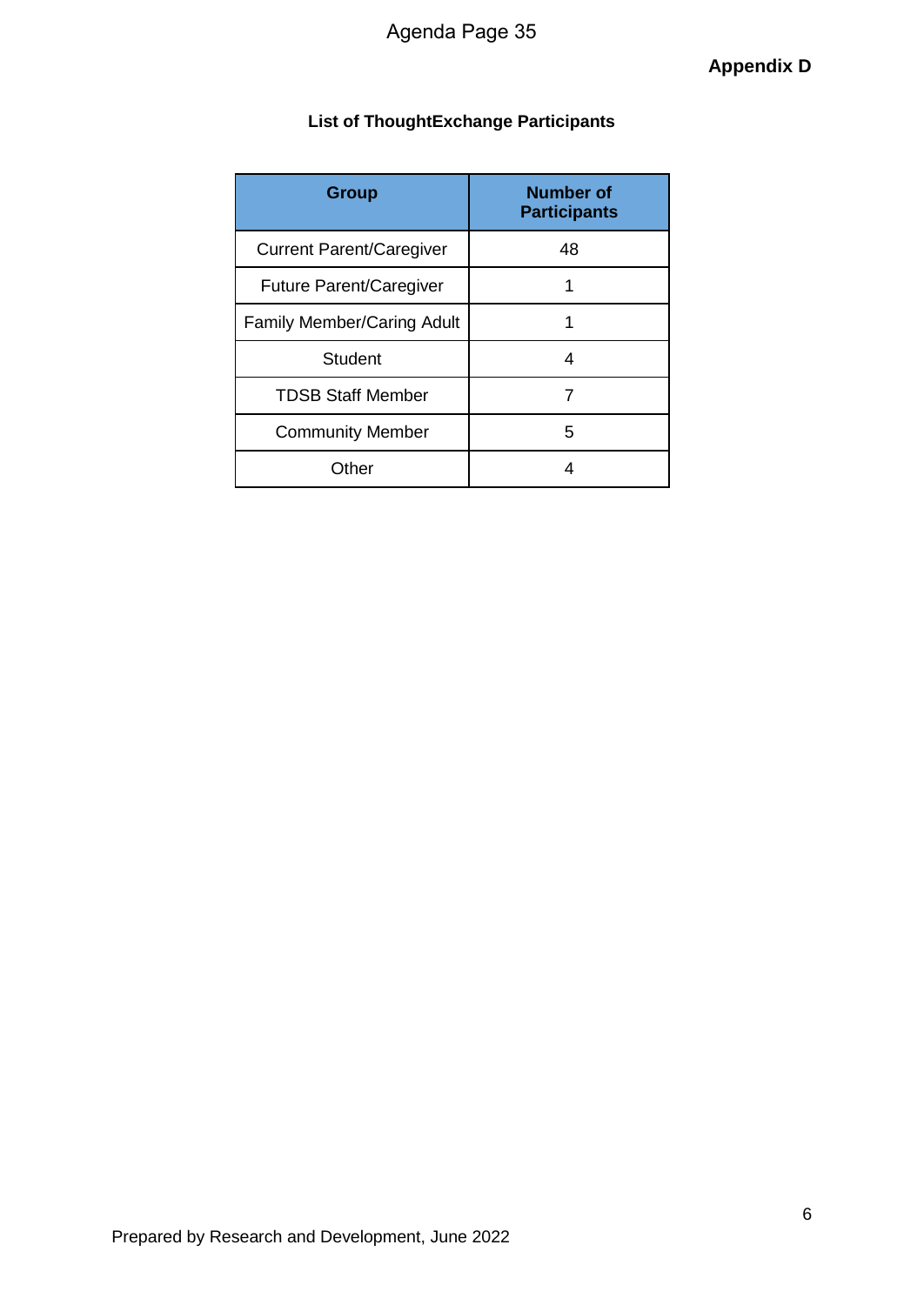# **List of ThoughtExchange Participants**

| <b>Group</b>                      | <b>Number of</b><br><b>Participants</b> |
|-----------------------------------|-----------------------------------------|
| <b>Current Parent/Caregiver</b>   | 48                                      |
| <b>Future Parent/Caregiver</b>    |                                         |
| <b>Family Member/Caring Adult</b> | 1                                       |
| Student                           | 4                                       |
| <b>TDSB Staff Member</b>          | 7                                       |
| <b>Community Member</b>           | 5                                       |
| Other                             |                                         |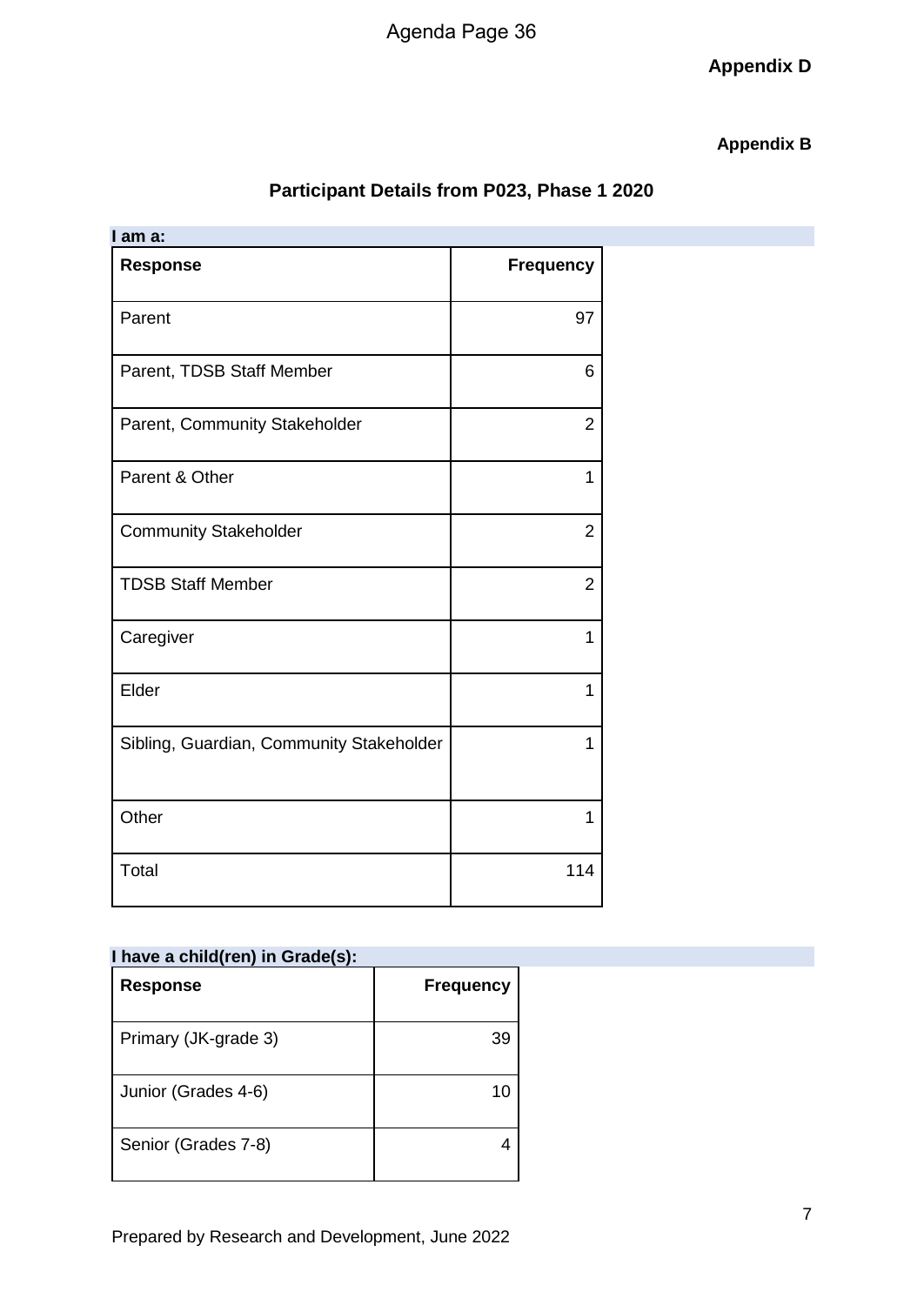# Agenda Page 36

**Appendix D**

## **Appendix B**

# **Participant Details from P023, Phase 1 2020**

| I am a:                                  |                  |
|------------------------------------------|------------------|
| <b>Response</b>                          | <b>Frequency</b> |
| Parent                                   | 97               |
| Parent, TDSB Staff Member                | 6                |
| Parent, Community Stakeholder            | $\overline{2}$   |
| Parent & Other                           | 1                |
| <b>Community Stakeholder</b>             | $\overline{2}$   |
| <b>TDSB Staff Member</b>                 | $\overline{2}$   |
| Caregiver                                | 1                |
| Elder                                    | 1                |
| Sibling, Guardian, Community Stakeholder | 1                |
| Other                                    | 1                |
| Total                                    | 114              |

| I have a child(ren) in Grade(s): |                  |
|----------------------------------|------------------|
| <b>Response</b>                  | <b>Frequency</b> |
| Primary (JK-grade 3)             | 39               |
| Junior (Grades 4-6)              | 10               |
| Senior (Grades 7-8)              |                  |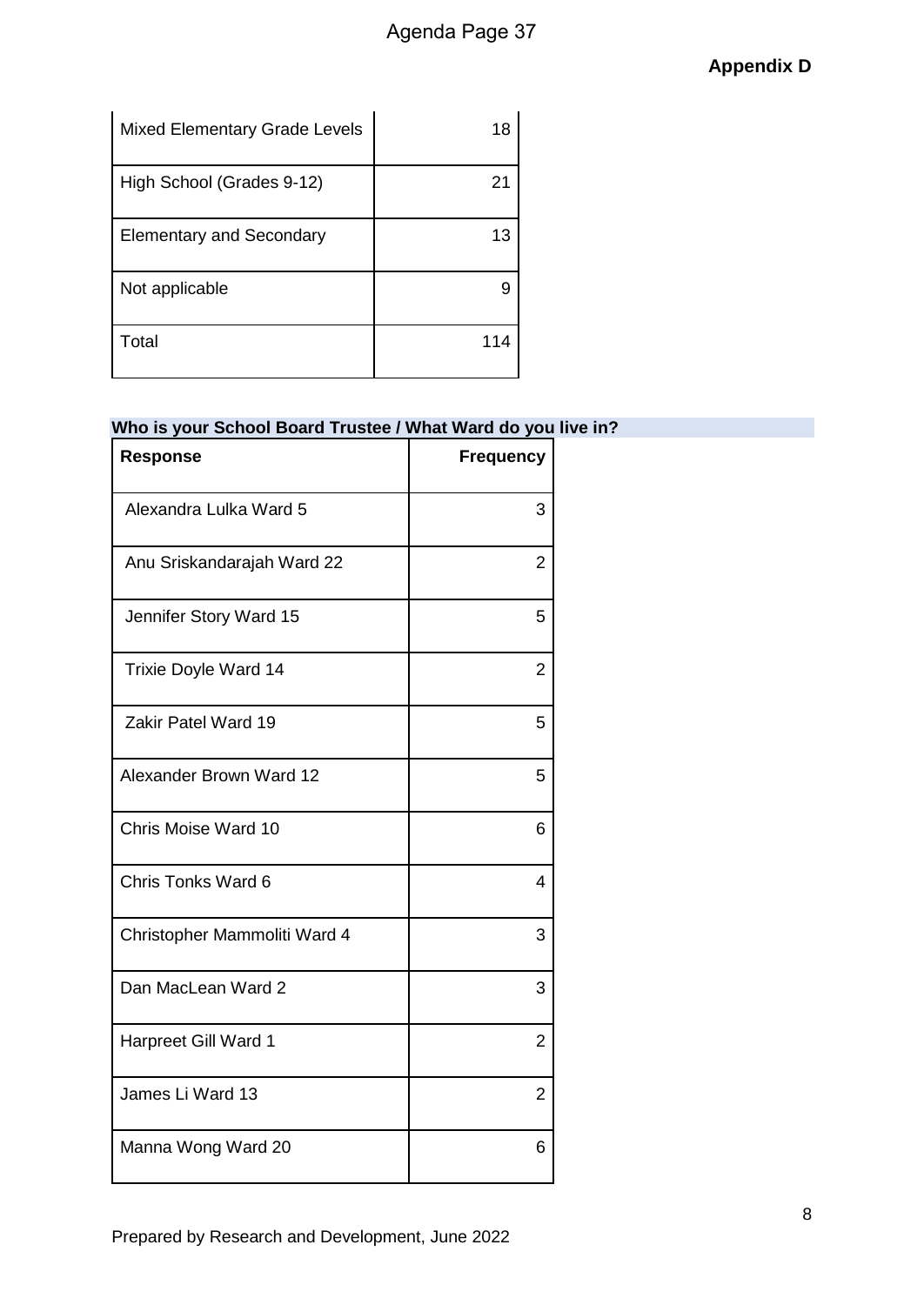| <b>Mixed Elementary Grade Levels</b> | 18  |
|--------------------------------------|-----|
| High School (Grades 9-12)            | 21  |
| <b>Elementary and Secondary</b>      | 13  |
| Not applicable                       | 9   |
| Total                                | 114 |

# **Who is your School Board Trustee / What Ward do you live in?**

| <b>Response</b>              | <b>Frequency</b> |
|------------------------------|------------------|
| Alexandra Lulka Ward 5       | 3                |
| Anu Sriskandarajah Ward 22   | $\overline{2}$   |
| Jennifer Story Ward 15       | 5                |
| <b>Trixie Doyle Ward 14</b>  | 2                |
| Zakir Patel Ward 19          | 5                |
| Alexander Brown Ward 12      | 5                |
| Chris Moise Ward 10          | 6                |
| Chris Tonks Ward 6           | 4                |
| Christopher Mammoliti Ward 4 | 3                |
| Dan MacLean Ward 2           | 3                |
| Harpreet Gill Ward 1         | $\overline{2}$   |
| James Li Ward 13             | 2                |
| Manna Wong Ward 20           | 6                |